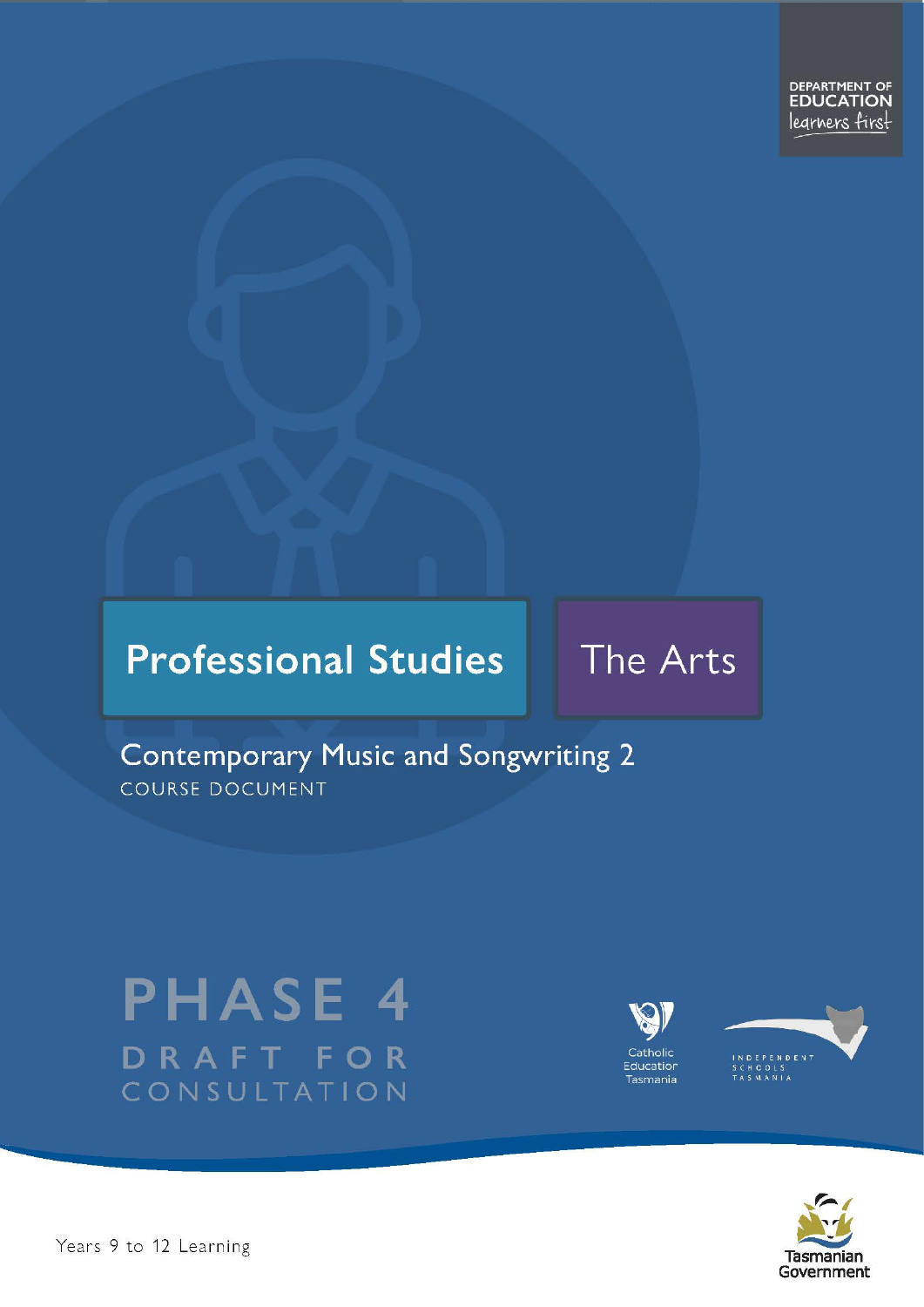DEPARTMENT OF **EDUCATION** legrners first

# **Professional Studies**

# The Arts

# **Contemporary Music and Songwriting 2** COURSE DOCUMENT

# **PHASE 4** DRAFT FOR CONSULTATION





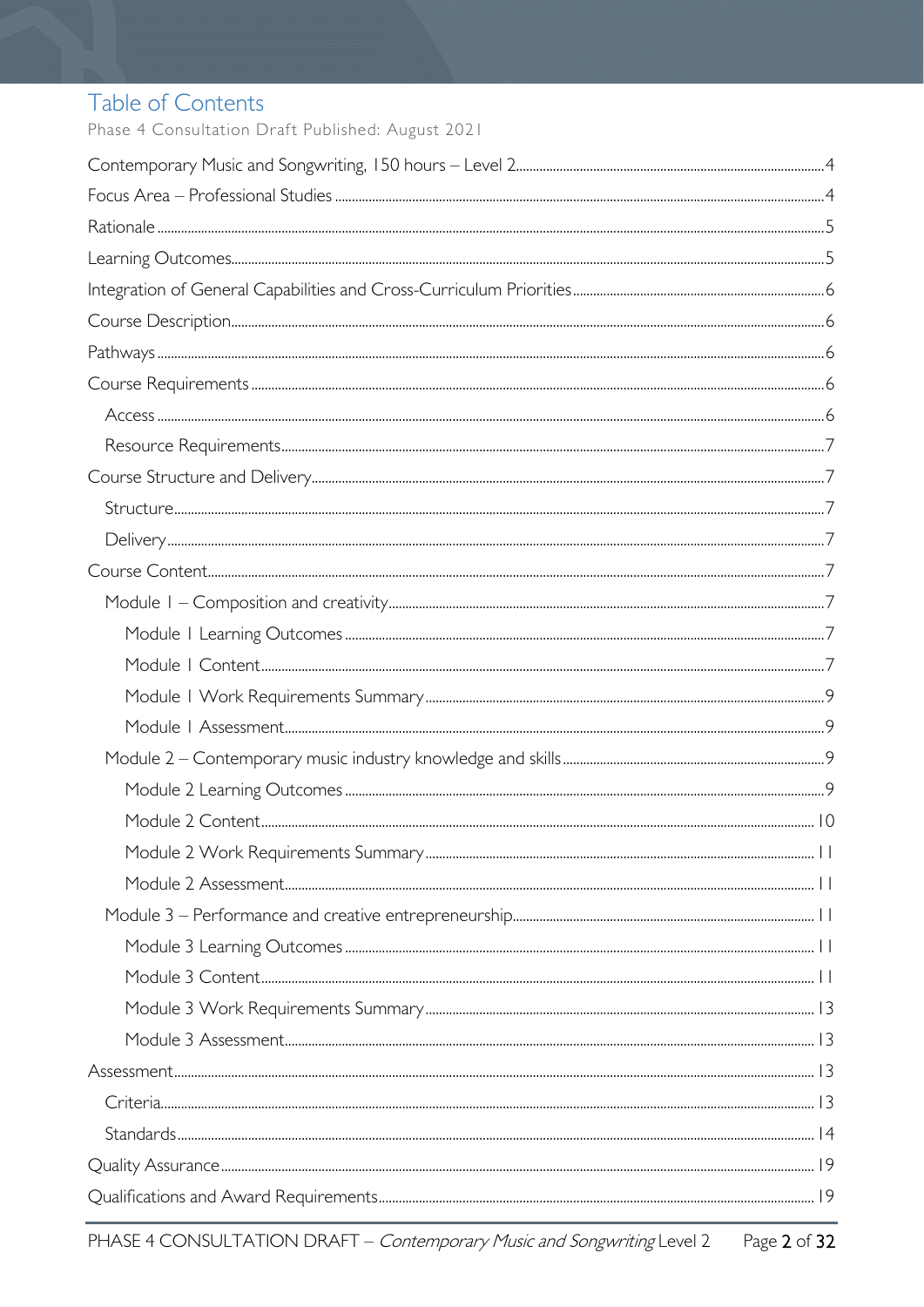# Table of Contents

Phase 4 Consultation Draft Published: August 2021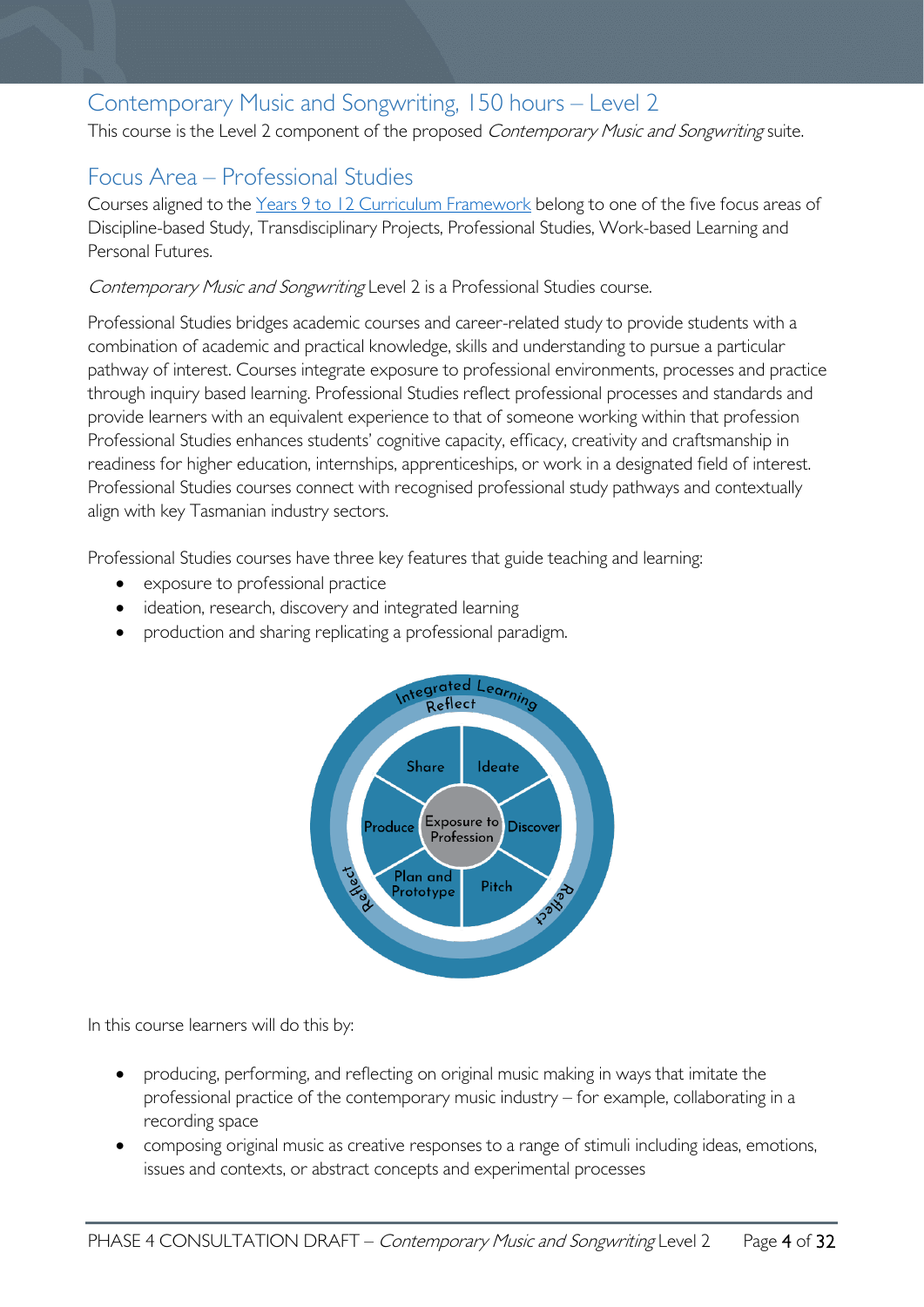# <span id="page-3-0"></span>Contemporary Music and Songwriting, 150 hours – Level 2

This course is the Level 2 component of the proposed Contemporary Music and Songwriting suite.

# <span id="page-3-1"></span>Focus Area – Professional Studies

Courses aligned to the [Years 9 to 12 Curriculum Framework](https://publicdocumentcentre.education.tas.gov.au/library/Shared%20Documents/Education%209-12%20Frameworks%20A3%20WEB%20POSTER.pdf) belong to one of the five focus areas of Discipline-based Study, Transdisciplinary Projects, Professional Studies, Work-based Learning and Personal Futures.

Contemporary Music and Songwriting Level 2 is a Professional Studies course.

Professional Studies bridges academic courses and career-related study to provide students with a combination of academic and practical knowledge, skills and understanding to pursue a particular pathway of interest. Courses integrate exposure to professional environments, processes and practice through inquiry based learning. Professional Studies reflect professional processes and standards and provide learners with an equivalent experience to that of someone working within that profession Professional Studies enhances students' cognitive capacity, efficacy, creativity and craftsmanship in readiness for higher education, internships, apprenticeships, or work in a designated field of interest. Professional Studies courses connect with recognised professional study pathways and contextually align with key Tasmanian industry sectors.

Professional Studies courses have three key features that guide teaching and learning:

- exposure to professional practice
- ideation, research, discovery and integrated learning
- production and sharing replicating a professional paradigm.



In this course learners will do this by:

- producing, performing, and reflecting on original music making in ways that imitate the professional practice of the contemporary music industry – for example, collaborating in a recording space
- composing original music as creative responses to a range of stimuli including ideas, emotions, issues and contexts, or abstract concepts and experimental processes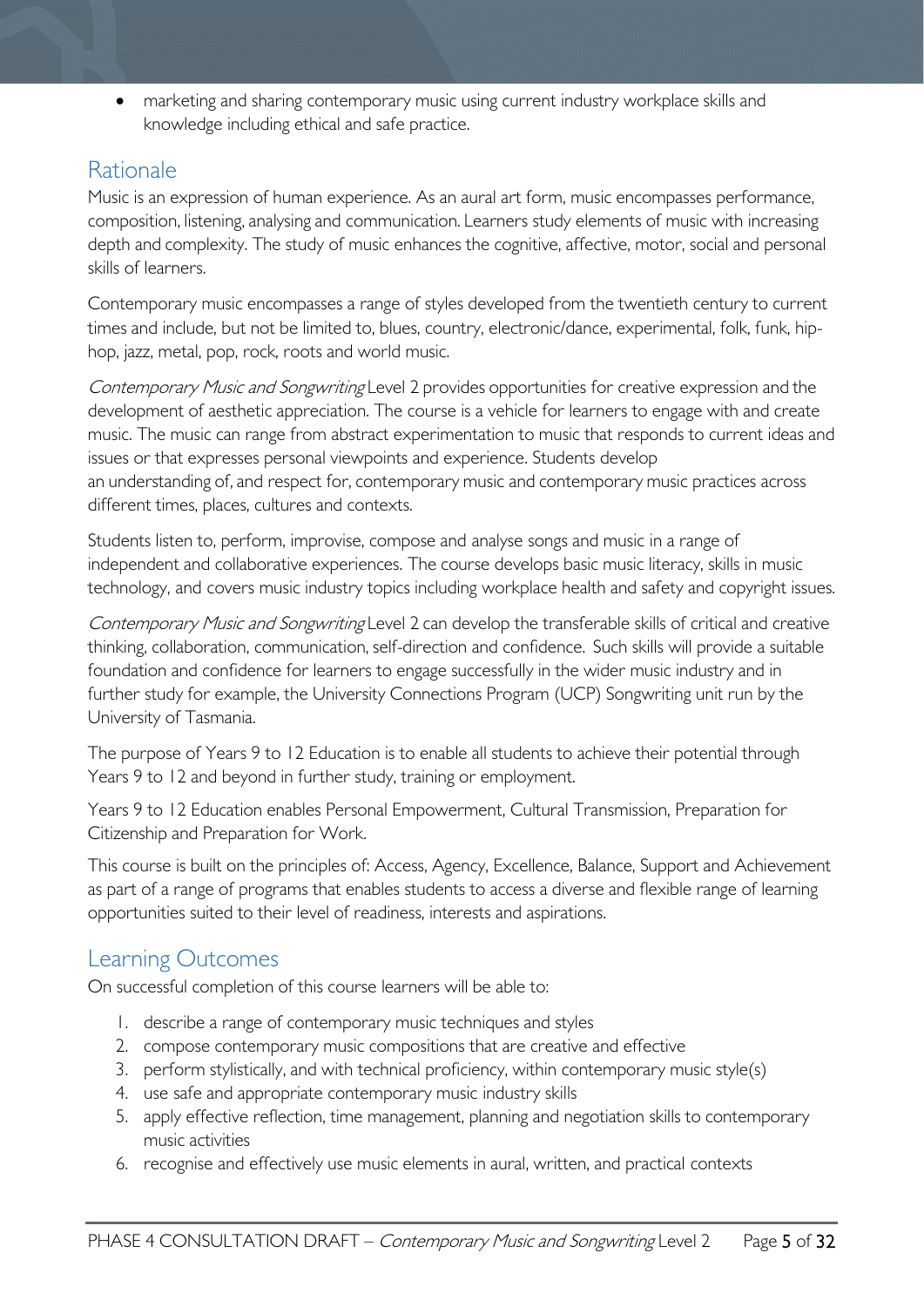• marketing and sharing contemporary music using current industry workplace skills and knowledge including ethical and safe practice.

## <span id="page-4-0"></span>**Rationale**

Music is an expression of human experience. As an aural art form, music encompasses performance, composition, listening, analysing and communication. Learners study elements of music with increasing depth and complexity. The study of music enhances the cognitive, affective, motor, social and personal skills of learners.

Contemporary music encompasses a range of styles developed from the twentieth century to current times and include, but not be limited to, blues, country, electronic/dance, experimental, folk, funk, hiphop, jazz, metal, pop, rock, roots and world music.

Contemporary Music and Songwriting Level 2 provides opportunities for creative expression and the development of aesthetic appreciation. The course is a vehicle for learners to engage with and create music. The music can range from abstract experimentation to music that responds to current ideas and issues or that expresses personal viewpoints and experience. Students develop an understanding of, and respect for, contemporary music and contemporary music practices across different times, places, cultures and contexts.

Students listen to, perform, improvise, compose and analyse songs and music in a range of independent and collaborative experiences. The course develops basic music literacy, skills in music technology, and covers music industry topics including workplace health and safety and copyright issues.

Contemporary Music and Songwriting Level 2 can develop the transferable skills of critical and creative thinking, collaboration, communication, self-direction and confidence.  Such skills will provide a suitable foundation and confidence for learners to engage successfully in the wider music industry and in further study for example, the University Connections Program (UCP) Songwriting unit run by the University of Tasmania.

The purpose of Years 9 to 12 Education is to enable all students to achieve their potential through Years 9 to 12 and beyond in further study, training or employment.

Years 9 to 12 Education enables Personal Empowerment, Cultural Transmission, Preparation for Citizenship and Preparation for Work.

This course is built on the principles of: Access, Agency, Excellence, Balance, Support and Achievement as part of a range of programs that enables students to access a diverse and flexible range of learning opportunities suited to their level of readiness, interests and aspirations.

# <span id="page-4-1"></span>Learning Outcomes

On successful completion of this course learners will be able to:

- 1. describe a range of contemporary music techniques and styles
- 2. compose contemporary music compositions that are creative and effective
- 3. perform stylistically, and with technical proficiency, within contemporary music style(s)
- 4. use safe and appropriate contemporary music industry skills
- 5. apply effective reflection, time management, planning and negotiation skills to contemporary music activities
- 6. recognise and effectively use music elements in aural, written, and practical contexts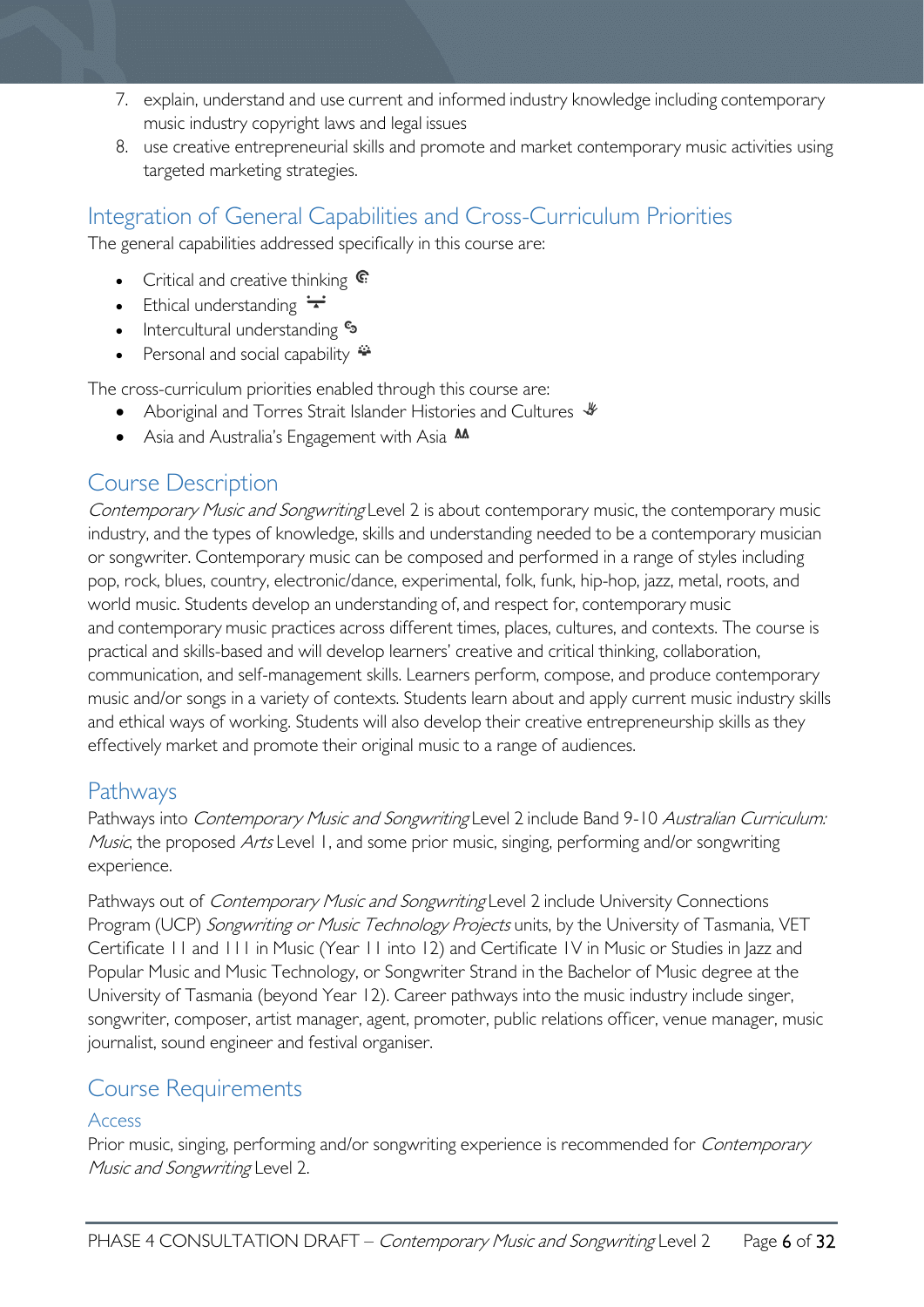- 7. explain, understand and use current and informed industry knowledge including contemporary music industry copyright laws and legal issues
- 8. use creative entrepreneurial skills and promote and market contemporary music activities using targeted marketing strategies.

# <span id="page-5-0"></span>Integration of General Capabilities and Cross-Curriculum Priorities

The general capabilities addressed specifically in this course are:

- Critical and creative thinking  $\mathbb{C}$
- Ethical understanding  $\div$
- Intercultural understanding •
- Personal and social capability  $\ddot{=}$

The cross-curriculum priorities enabled through this course are:

- Aboriginal and Torres Strait Islander Histories and Cultures  $\mathcal$
- Asia and Australia's Engagement with Asia M

# <span id="page-5-1"></span>Course Description

Contemporary Music and Songwriting Level 2 is about contemporary music, the contemporary music industry, and the types of knowledge, skills and understanding needed to be a contemporary musician or songwriter. Contemporary music can be composed and performed in a range of styles including pop, rock, blues, country, electronic/dance, experimental, folk, funk, hip-hop, jazz, metal, roots, and world music. Students develop an understanding of, and respect for, contemporary music and contemporary music practices across different times, places, cultures, and contexts. The course is practical and skills-based and will develop learners' creative and critical thinking, collaboration, communication, and self-management skills. Learners perform, compose, and produce contemporary music and/or songs in a variety of contexts. Students learn about and apply current music industry skills and ethical ways of working. Students will also develop their creative entrepreneurship skills as they effectively market and promote their original music to a range of audiences.

# <span id="page-5-2"></span>Pathways

Pathways into Contemporary Music and Songwriting Level 2 include Band 9-10 Australian Curriculum: Music, the proposed Arts Level 1, and some prior music, singing, performing and/or songwriting experience.

Pathways out of *Contemporary Music and Songwriting* Level 2 include University Connections Program (UCP) Songwriting or Music Technology Projects units, by the University of Tasmania, VET Certificate 11 and 111 in Music (Year 11 into 12) and Certificate 1V in Music or Studies in Jazz and Popular Music and Music Technology, or Songwriter Strand in the Bachelor of Music degree at the University of Tasmania (beyond Year 12). Career pathways into the music industry include singer, songwriter, composer, artist manager, agent, promoter, public relations officer, venue manager, music journalist, sound engineer and festival organiser.

# <span id="page-5-3"></span>Course Requirements

#### <span id="page-5-4"></span>Access

Prior music, singing, performing and/or songwriting experience is recommended for *Contemporary* Music and Songwriting Level 2.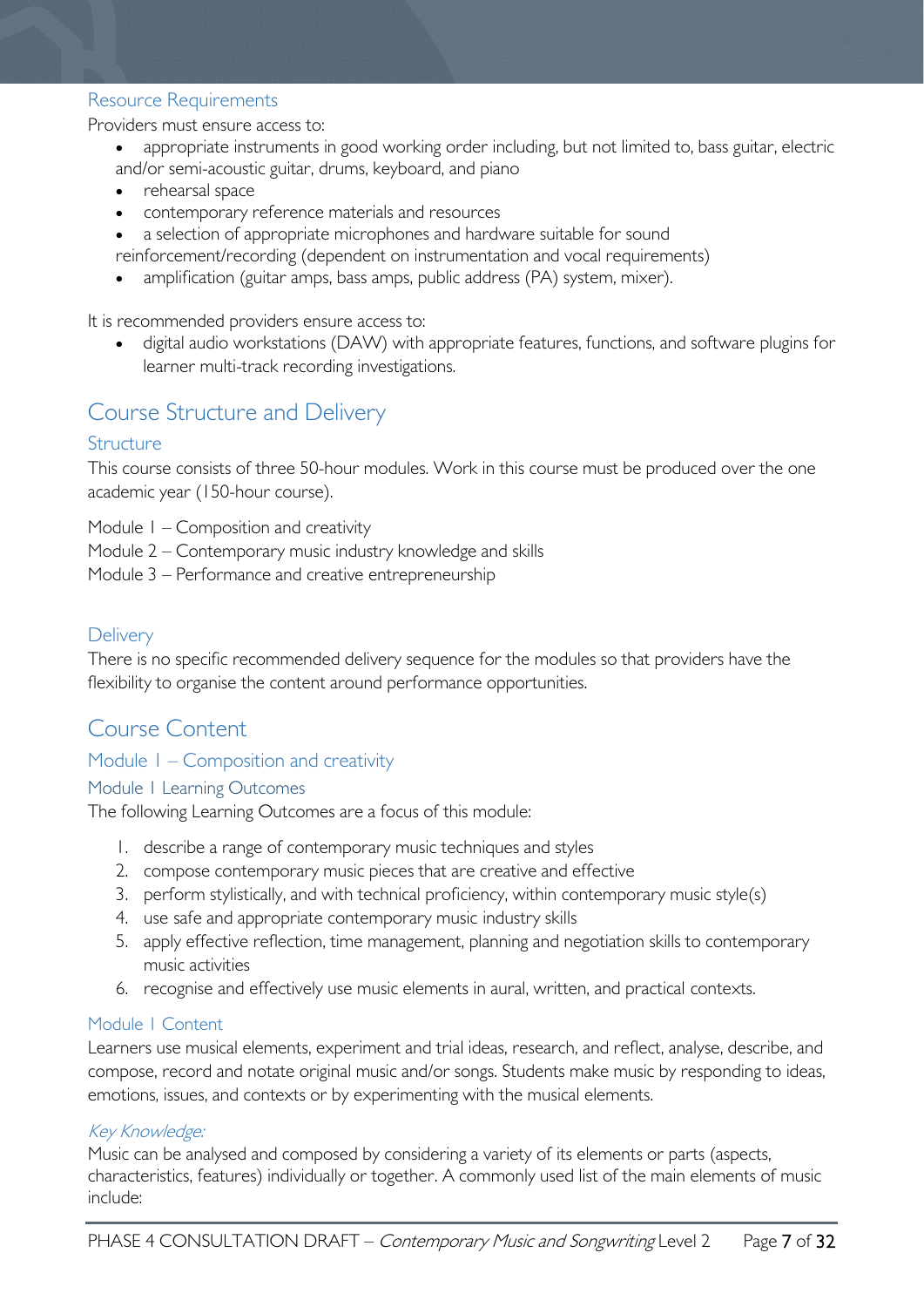#### <span id="page-6-0"></span>Resource Requirements

Providers must ensure access to:

- appropriate instruments in good working order including, but not limited to, bass guitar, electric and/or semi-acoustic guitar, drums, keyboard, and piano
- rehearsal space
- contemporary reference materials and resources
- a selection of appropriate microphones and hardware suitable for sound
- reinforcement/recording (dependent on instrumentation and vocal requirements)
- amplification (guitar amps, bass amps, public address (PA) system, mixer).

It is recommended providers ensure access to:

• digital audio workstations (DAW) with appropriate features, functions, and software plugins for learner multi-track recording investigations.

# <span id="page-6-1"></span>Course Structure and Delivery

### <span id="page-6-2"></span>**Structure**

This course consists of three 50-hour modules. Work in this course must be produced over the one academic year (150-hour course).

Module 1 – Composition and creativity

- Module 2 Contemporary music industry knowledge and skills
- Module 3 Performance and creative entrepreneurship

### <span id="page-6-3"></span>**Delivery**

There is no specific recommended delivery sequence for the modules so that providers have the flexibility to organise the content around performance opportunities.

# <span id="page-6-4"></span>Course Content

### <span id="page-6-5"></span>Module 1 – Composition and creativity

#### <span id="page-6-6"></span>Module 1 Learning Outcomes

The following Learning Outcomes are a focus of this module:

- 1. describe a range of contemporary music techniques and styles
- 2. compose contemporary music pieces that are creative and effective
- 3. perform stylistically, and with technical proficiency, within contemporary music style(s)
- 4. use safe and appropriate contemporary music industry skills
- 5. apply effective reflection, time management, planning and negotiation skills to contemporary music activities
- 6. recognise and effectively use music elements in aural, written, and practical contexts.

#### <span id="page-6-7"></span>Module 1 Content

Learners use musical elements, experiment and trial ideas, research, and reflect, analyse, describe, and compose, record and notate original music and/or songs. Students make music by responding to ideas, emotions, issues, and contexts or by experimenting with the musical elements.

#### Key Knowledge:

Music can be analysed and composed by considering a variety of its elements or parts (aspects, characteristics, features) individually or together. A commonly used list of the main elements of music include: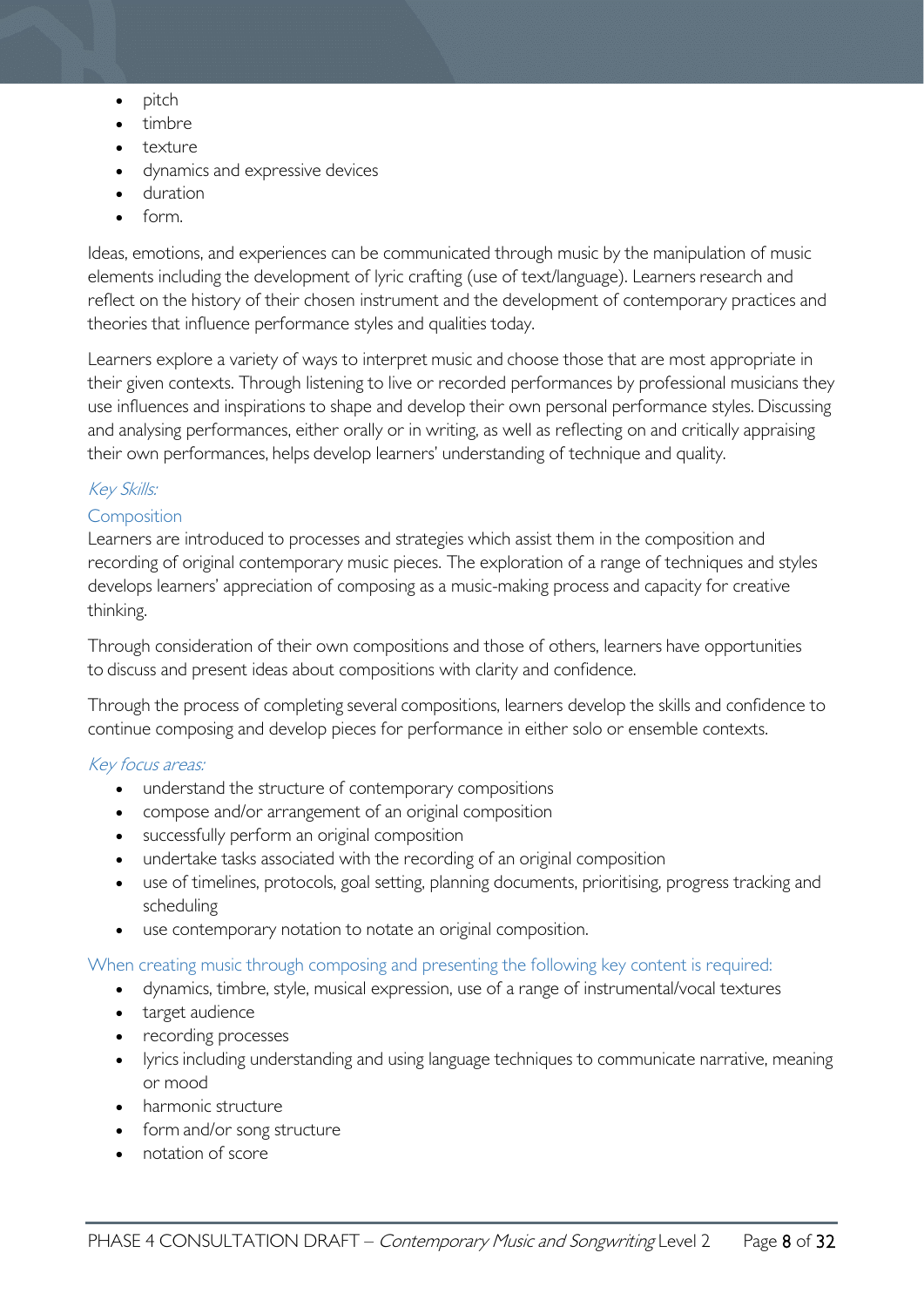- pitch
- timbre
- texture
- dynamics and expressive devices
- duration
- form.

Ideas, emotions, and experiences can be communicated through music by the manipulation of music elements including the development of lyric crafting (use of text/language). Learners research and reflect on the history of their chosen instrument and the development of contemporary practices and theories that influence performance styles and qualities today.

Learners explore a variety of ways to interpret music and choose those that are most appropriate in their given contexts. Through listening to live or recorded performances by professional musicians they use influences and inspirations to shape and develop their own personal performance styles. Discussing and analysing performances, either orally or in writing, as well as reflecting on and critically appraising their own performances, helps develop learners' understanding of technique and quality.

### Key Skills:

### **Composition**

Learners are introduced to processes and strategies which assist them in the composition and recording of original contemporary music pieces. The exploration of a range of techniques and styles develops learners' appreciation of composing as a music-making process and capacity for creative thinking.

Through consideration of their own compositions and those of others, learners have opportunities to discuss and present ideas about compositions with clarity and confidence.

Through the process of completing several compositions, learners develop the skills and confidence to continue composing and develop pieces for performance in either solo or ensemble contexts.

#### Key focus areas:

- understand the structure of contemporary compositions
- compose and/or arrangement of an original composition
- successfully perform an original composition
- undertake tasks associated with the recording of an original composition
- use of timelines, protocols, goal setting, planning documents, prioritising, progress tracking and scheduling
- use contemporary notation to notate an original composition.

#### When creating music through composing and presenting the following key content is required:

- dynamics, timbre, style, musical expression, use of a range of instrumental/vocal textures
- target audience
- recording processes
- lyrics including understanding and using language techniques to communicate narrative, meaning or mood
- harmonic structure
- form and/or song structure
- notation of score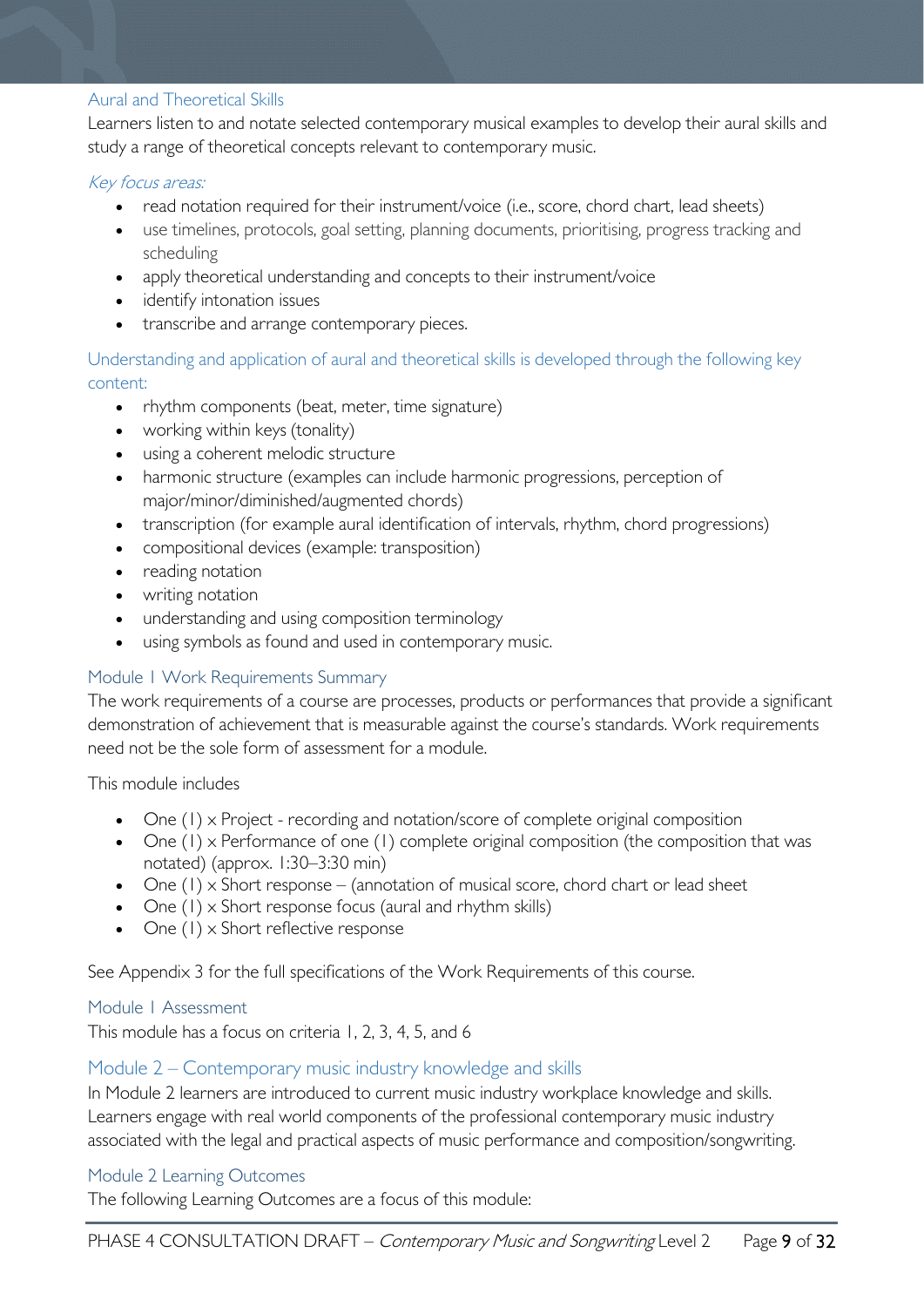#### Aural and Theoretical Skills

Learners listen to and notate selected contemporary musical examples to develop their aural skills and study a range of theoretical concepts relevant to contemporary music.

#### Key focus areas:

- read notation required for their instrument/voice (i.e., score, chord chart, lead sheets)
- use timelines, protocols, goal setting, planning documents, prioritising, progress tracking and scheduling
- apply theoretical understanding and concepts to their instrument/voice
- identify intonation issues
- transcribe and arrange contemporary pieces.

Understanding and application of aural and theoretical skills is developed through the following key content:

- rhythm components (beat, meter, time signature)
- working within keys (tonality)
- using a coherent melodic structure
- harmonic structure (examples can include harmonic progressions, perception of major/minor/diminished/augmented chords)
- transcription (for example aural identification of intervals, rhythm, chord progressions)
- compositional devices (example: transposition)
- reading notation
- writing notation
- understanding and using composition terminology
- using symbols as found and used in contemporary music.

### <span id="page-8-0"></span>Module 1 Work Requirements Summary

The work requirements of a course are processes, products or performances that provide a significant demonstration of achievement that is measurable against the course's standards. Work requirements need not be the sole form of assessment for a module.

This module includes

- One (1) x Project recording and notation/score of complete original composition
- One (1) x Performance of one (1) complete original composition (the composition that was notated) (approx. 1:30–3:30 min)
- One  $(1)$  x Short response (annotation of musical score, chord chart or lead sheet
- One (1) x Short response focus (aural and rhythm skills)
- One (1) x Short reflective response

See Appendix 3 for the full specifications of the Work Requirements of this course.

#### <span id="page-8-1"></span>Module 1 Assessment

This module has a focus on criteria 1, 2, 3, 4, 5, and 6

#### <span id="page-8-2"></span>Module 2 – Contemporary music industry knowledge and skills

In Module 2 learners are introduced to current music industry workplace knowledge and skills. Learners engage with real world components of the professional contemporary music industry associated with the legal and practical aspects of music performance and composition/songwriting.

#### <span id="page-8-3"></span>Module 2 Learning Outcomes

The following Learning Outcomes are a focus of this module: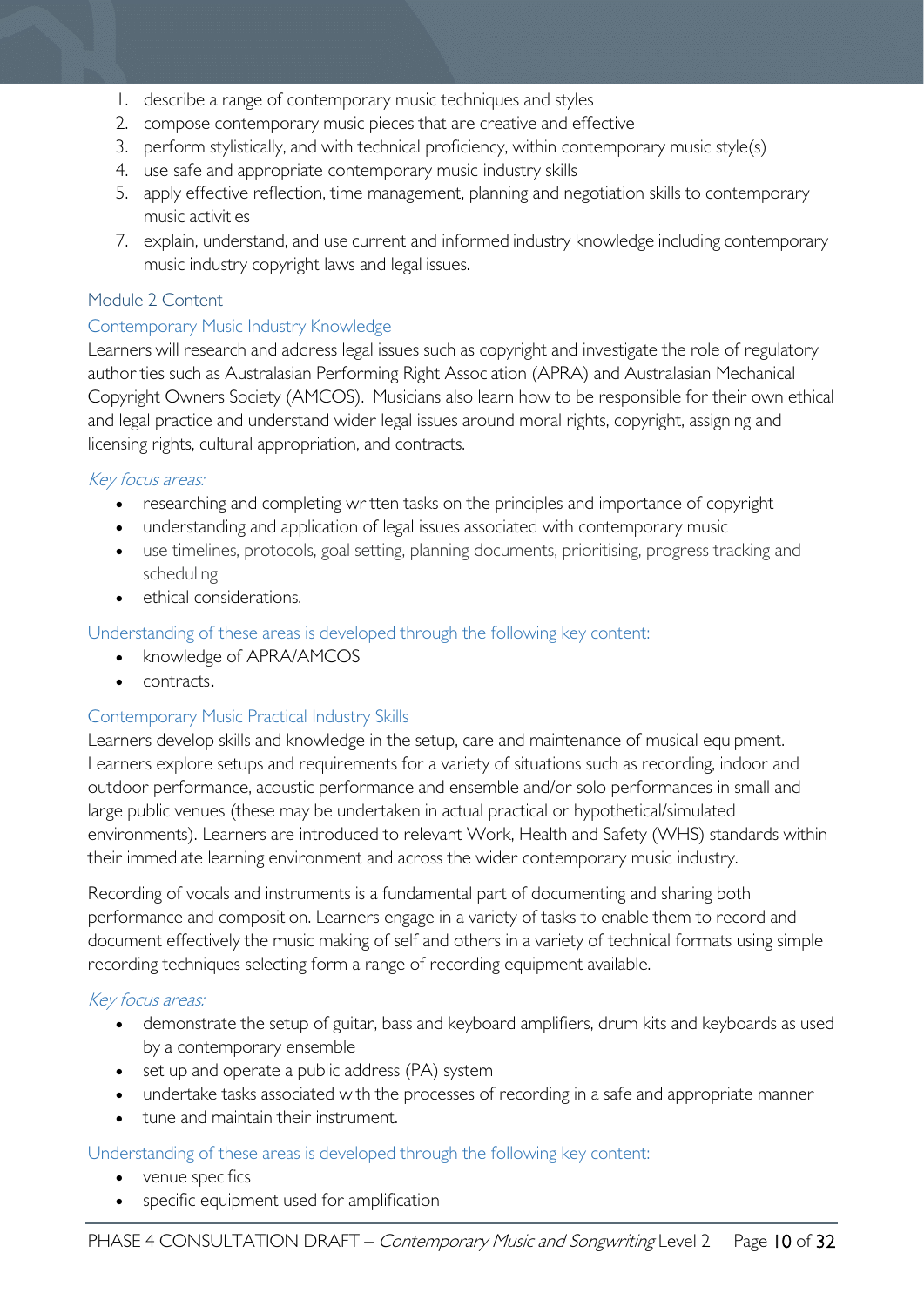- 1. describe a range of contemporary music techniques and styles
- 2. compose contemporary music pieces that are creative and effective
- 3. perform stylistically, and with technical proficiency, within contemporary music style(s)
- 4. use safe and appropriate contemporary music industry skills
- 5. apply effective reflection, time management, planning and negotiation skills to contemporary music activities
- 7. explain, understand, and use current and informed industry knowledge including contemporary music industry copyright laws and legal issues.

### <span id="page-9-0"></span>Module 2 Content

#### Contemporary Music Industry Knowledge

Learners will research and address legal issues such as copyright and investigate the role of regulatory authorities such as Australasian Performing Right Association (APRA) and Australasian Mechanical Copyright Owners Society (AMCOS). Musicians also learn how to be responsible for their own ethical and legal practice and understand wider legal issues around moral rights, copyright, assigning and licensing rights, cultural appropriation, and contracts.

### Key focus areas:

- researching and completing written tasks on the principles and importance of copyright
- understanding and application of legal issues associated with contemporary music
- use timelines, protocols, goal setting, planning documents, prioritising, progress tracking and scheduling
- ethical considerations.

### Understanding of these areas is developed through the following key content:

- knowledge of APRA/AMCOS
- contracts.

### Contemporary Music Practical Industry Skills

Learners develop skills and knowledge in the setup, care and maintenance of musical equipment. Learners explore setups and requirements for a variety of situations such as recording, indoor and outdoor performance, acoustic performance and ensemble and/or solo performances in small and large public venues (these may be undertaken in actual practical or hypothetical/simulated environments). Learners are introduced to relevant Work, Health and Safety (WHS) standards within their immediate learning environment and across the wider contemporary music industry.

Recording of vocals and instruments is a fundamental part of documenting and sharing both performance and composition. Learners engage in a variety of tasks to enable them to record and document effectively the music making of self and others in a variety of technical formats using simple recording techniques selecting form a range of recording equipment available.

### Key focus areas:

- demonstrate the setup of guitar, bass and keyboard amplifiers, drum kits and keyboards as used by a contemporary ensemble
- set up and operate a public address (PA) system
- undertake tasks associated with the processes of recording in a safe and appropriate manner
- tune and maintain their instrument.

#### Understanding of these areas is developed through the following key content:

- venue specifics
- specific equipment used for amplification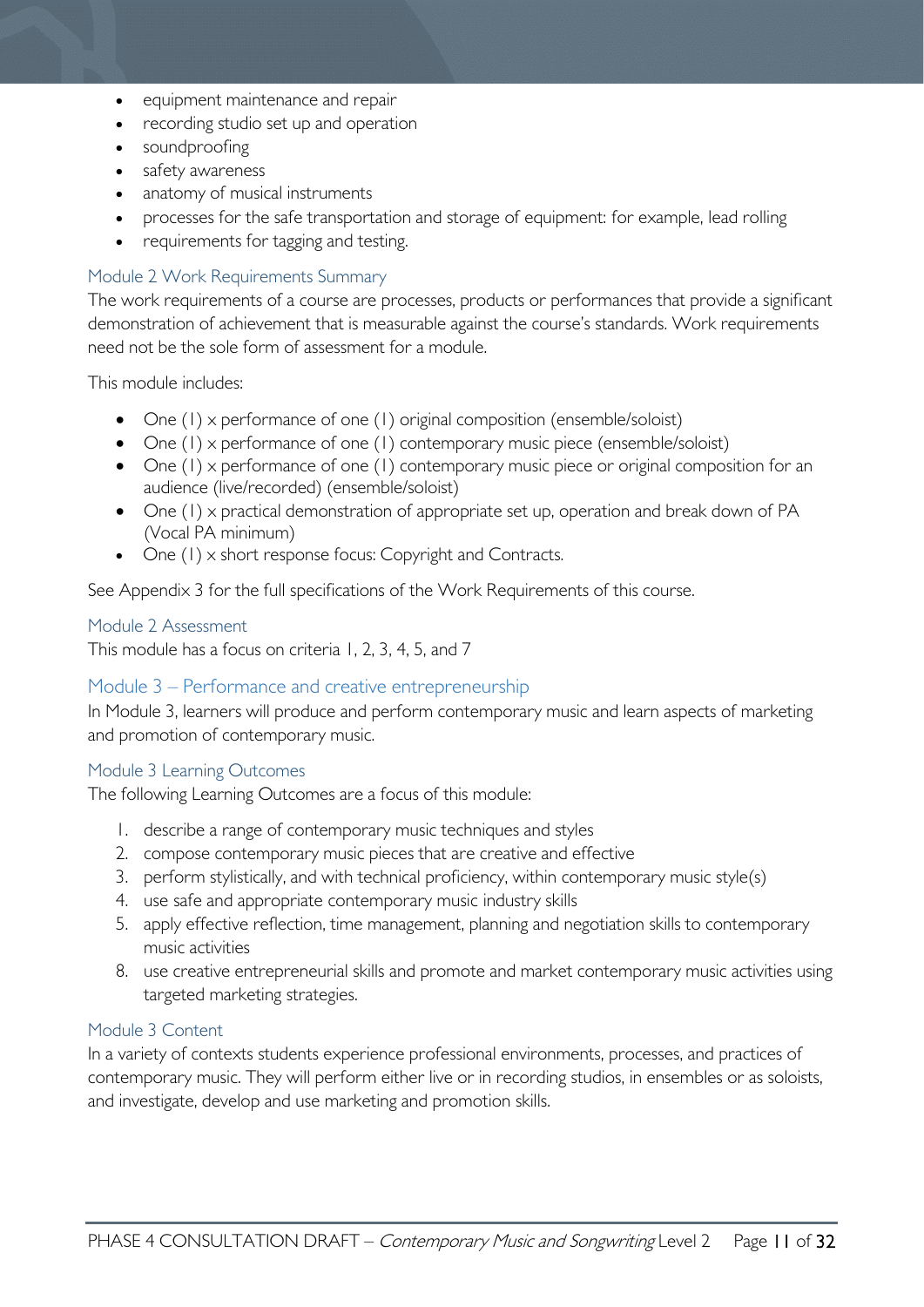- equipment maintenance and repair
- recording studio set up and operation
- soundproofing
- safety awareness
- anatomy of musical instruments
- processes for the safe transportation and storage of equipment: for example, lead rolling
- requirements for tagging and testing.

#### <span id="page-10-0"></span>Module 2 Work Requirements Summary

The work requirements of a course are processes, products or performances that provide a significant demonstration of achievement that is measurable against the course's standards. Work requirements need not be the sole form of assessment for a module.

This module includes:

- One (1) x performance of one (1) original composition (ensemble/soloist)
- One (1) x performance of one (1) contemporary music piece (ensemble/soloist)
- One (1) x performance of one (1) contemporary music piece or original composition for an audience (live/recorded) (ensemble/soloist)
- One (1) x practical demonstration of appropriate set up, operation and break down of PA (Vocal PA minimum)
- One (1) x short response focus: Copyright and Contracts.

See Appendix 3 for the full specifications of the Work Requirements of this course.

#### <span id="page-10-1"></span>Module 2 Assessment

This module has a focus on criteria 1, 2, 3, 4, 5, and 7

#### <span id="page-10-2"></span>Module 3 – Performance and creative entrepreneurship

In Module 3, learners will produce and perform contemporary music and learn aspects of marketing and promotion of contemporary music.

#### <span id="page-10-3"></span>Module 3 Learning Outcomes

The following Learning Outcomes are a focus of this module:

- 1. describe a range of contemporary music techniques and styles
- 2. compose contemporary music pieces that are creative and effective
- 3. perform stylistically, and with technical proficiency, within contemporary music style(s)
- 4. use safe and appropriate contemporary music industry skills
- 5. apply effective reflection, time management, planning and negotiation skills to contemporary music activities
- 8. use creative entrepreneurial skills and promote and market contemporary music activities using targeted marketing strategies.

#### <span id="page-10-4"></span>Module 3 Content

In a variety of contexts students experience professional environments, processes, and practices of contemporary music. They will perform either live or in recording studios, in ensembles or as soloists, and investigate, develop and use marketing and promotion skills.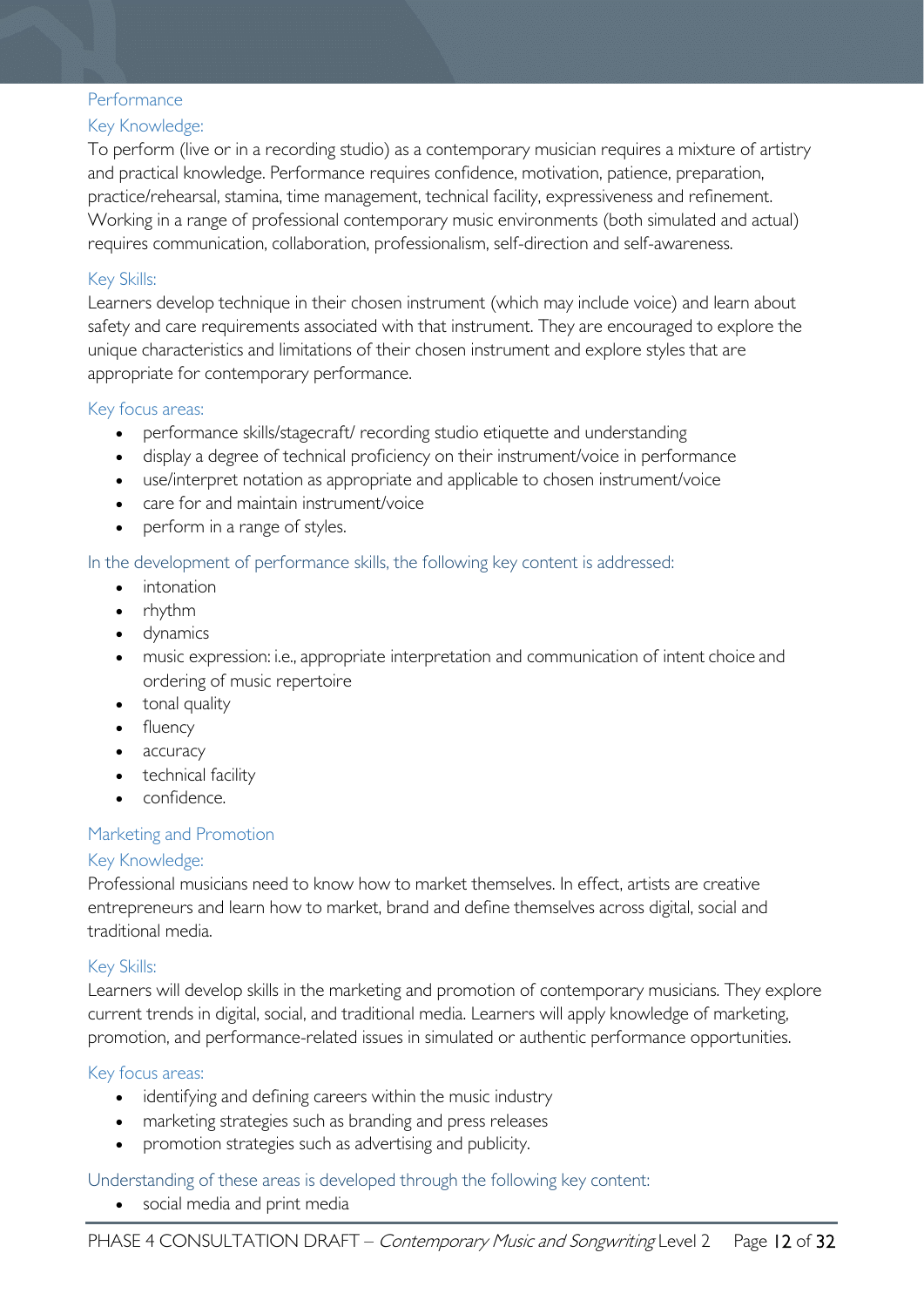#### **Performance**

### Key Knowledge:

To perform (live or in a recording studio) as a contemporary musician requires a mixture of artistry and practical knowledge. Performance requires confidence, motivation, patience, preparation, practice/rehearsal, stamina, time management, technical facility, expressiveness and refinement. Working in a range of professional contemporary music environments (both simulated and actual) requires communication, collaboration, professionalism, self-direction and self-awareness.

### Key Skills:

Learners develop technique in their chosen instrument (which may include voice) and learn about safety and care requirements associated with that instrument. They are encouraged to explore the unique characteristics and limitations of their chosen instrument and explore styles that are appropriate for contemporary performance.

#### Key focus areas:

- performance skills/stagecraft/ recording studio etiquette and understanding
- display a degree of technical proficiency on their instrument/voice in performance
- use/interpret notation as appropriate and applicable to chosen instrument/voice
- care for and maintain instrument/voice
- perform in a range of styles.

### In the development of performance skills, the following key content is addressed:

- intonation
- rhythm
- dynamics
- music expression: i.e., appropriate interpretation and communication of intent choice and ordering of music repertoire
- tonal quality
- fluency
- accuracy
- technical facility
- confidence.

### Marketing and Promotion

#### Key Knowledge:

Professional musicians need to know how to market themselves. In effect, artists are creative entrepreneurs and learn how to market, brand and define themselves across digital, social and traditional media.

#### Key Skills:

Learners will develop skills in the marketing and promotion of contemporary musicians. They explore current trends in digital, social, and traditional media. Learners will apply knowledge of marketing, promotion, and performance-related issues in simulated or authentic performance opportunities.

#### Key focus areas:

- identifying and defining careers within the music industry
- marketing strategies such as branding and press releases
- promotion strategies such as advertising and publicity.

#### Understanding of these areas is developed through the following key content:

• social media and print media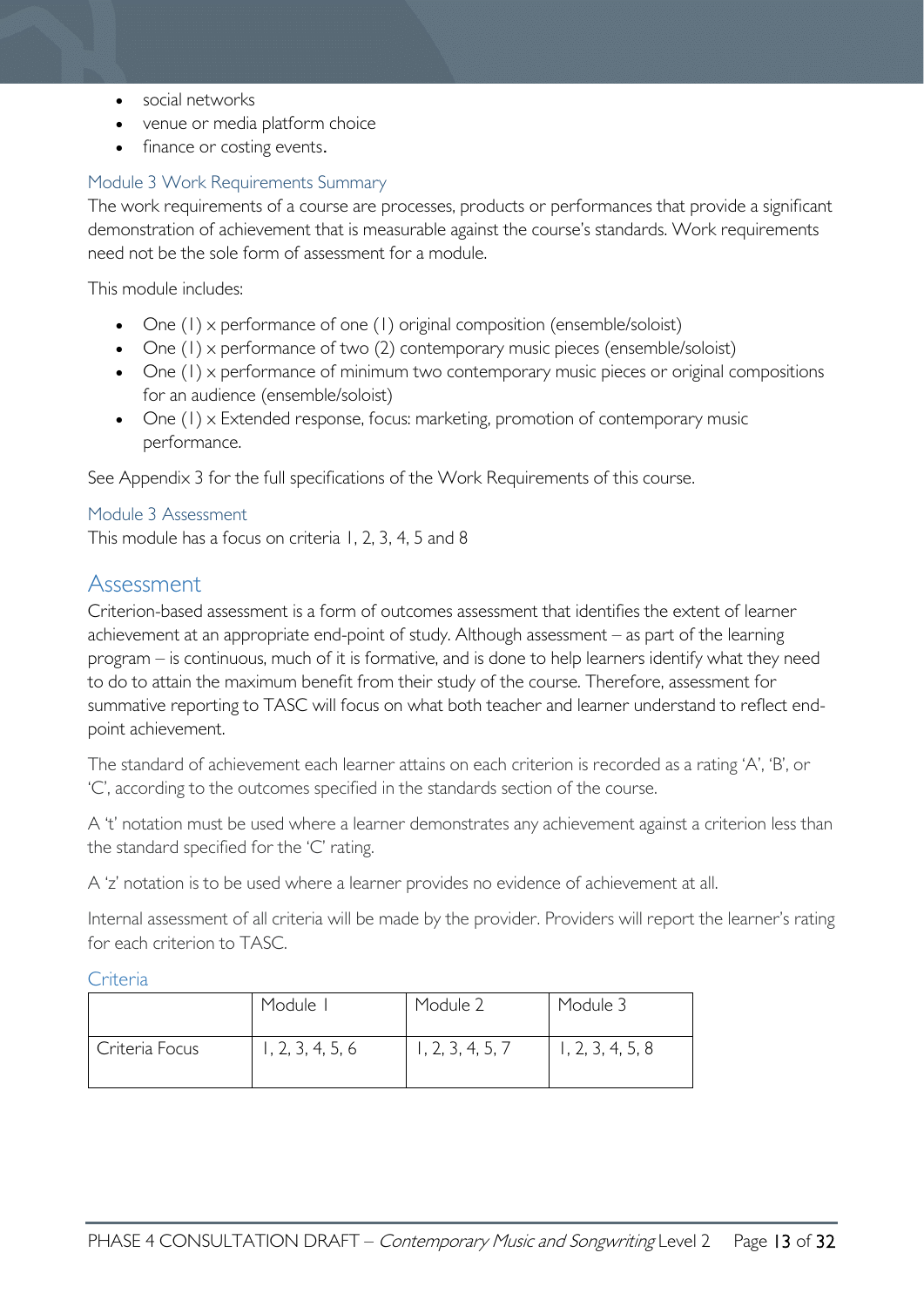- social networks
- venue or media platform choice
- finance or costing events.

### <span id="page-12-0"></span>Module 3 Work Requirements Summary

The work requirements of a course are processes, products or performances that provide a significant demonstration of achievement that is measurable against the course's standards. Work requirements need not be the sole form of assessment for a module.

This module includes:

- One (1) x performance of one (1) original composition (ensemble/soloist)
- One (1) x performance of two (2) contemporary music pieces (ensemble/soloist)
- One (1) x performance of minimum two contemporary music pieces or original compositions for an audience (ensemble/soloist)
- One (1) x Extended response, focus: marketing, promotion of contemporary music performance.

See Appendix 3 for the full specifications of the Work Requirements of this course.

### <span id="page-12-1"></span>Module 3 Assessment

This module has a focus on criteria 1, 2, 3, 4, 5 and 8

### <span id="page-12-2"></span>Assessment

Criterion-based assessment is a form of outcomes assessment that identifies the extent of learner achievement at an appropriate end-point of study. Although assessment – as part of the learning program – is continuous, much of it is formative, and is done to help learners identify what they need to do to attain the maximum benefit from their study of the course. Therefore, assessment for summative reporting to TASC will focus on what both teacher and learner understand to reflect endpoint achievement.

The standard of achievement each learner attains on each criterion is recorded as a rating 'A', 'B', or 'C', according to the outcomes specified in the standards section of the course.

A 't' notation must be used where a learner demonstrates any achievement against a criterion less than the standard specified for the 'C' rating.

A 'z' notation is to be used where a learner provides no evidence of achievement at all.

Internal assessment of all criteria will be made by the provider. Providers will report the learner's rating for each criterion to TASC.

<span id="page-12-3"></span>Criteria

|                | Module           | Module 2         | Module 3         |
|----------------|------------------|------------------|------------------|
| Criteria Focus | 1, 2, 3, 4, 5, 6 | 1, 2, 3, 4, 5, 7 | 1, 2, 3, 4, 5, 8 |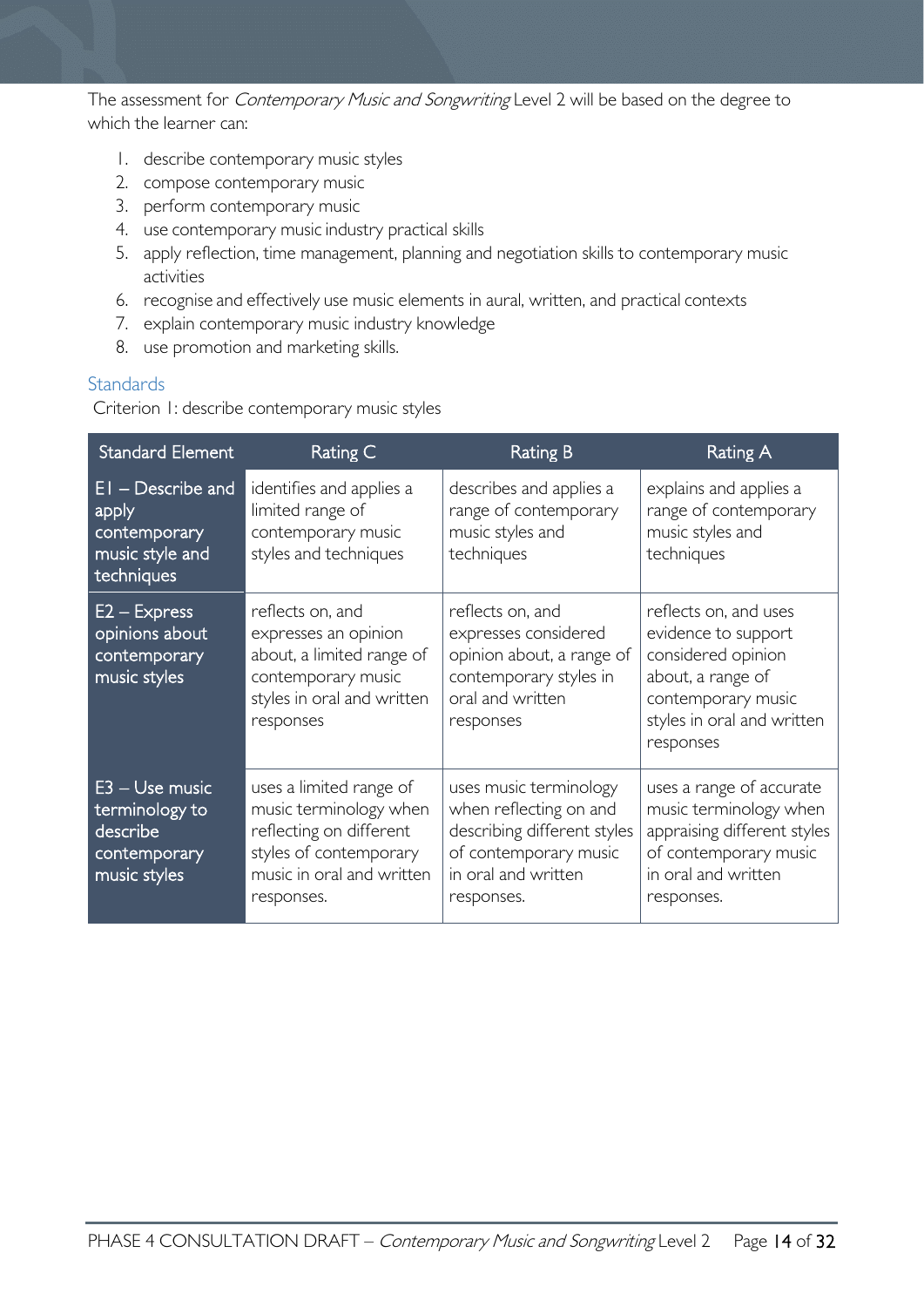The assessment for *Contemporary Music and Songwriting* Level 2 will be based on the degree to which the learner can:

- 1. describe contemporary music styles
- 2. compose contemporary music
- 3. perform contemporary music
- 4. use contemporary music industry practical skills
- 5. apply reflection, time management, planning and negotiation skills to contemporary music activities
- 6. recognise and effectively use music elements in aural, written, and practical contexts
- 7. explain contemporary music industry knowledge
- 8. use promotion and marketing skills.

#### <span id="page-13-0"></span>**Standards**

Criterion 1: describe contemporary music styles

| <b>Standard Element</b>                                                        | Rating C                                                                                                                                          | <b>Rating B</b>                                                                                                                               | Rating A                                                                                                                                                 |
|--------------------------------------------------------------------------------|---------------------------------------------------------------------------------------------------------------------------------------------------|-----------------------------------------------------------------------------------------------------------------------------------------------|----------------------------------------------------------------------------------------------------------------------------------------------------------|
| $EI$ – Describe and<br>apply<br>contemporary<br>music style and<br>techniques  | identifies and applies a<br>limited range of<br>contemporary music<br>styles and techniques                                                       | describes and applies a<br>range of contemporary<br>music styles and<br>techniques                                                            | explains and applies a<br>range of contemporary<br>music styles and<br>techniques                                                                        |
| $E2 - Express$<br>opinions about<br>contemporary<br>music styles               | reflects on, and<br>expresses an opinion<br>about, a limited range of<br>contemporary music<br>styles in oral and written<br>responses            | reflects on, and<br>expresses considered<br>opinion about, a range of<br>contemporary styles in<br>oral and written<br>responses              | reflects on, and uses<br>evidence to support<br>considered opinion<br>about, a range of<br>contemporary music<br>styles in oral and written<br>responses |
| $E3 - Use music$<br>terminology to<br>describe<br>contemporary<br>music styles | uses a limited range of<br>music terminology when<br>reflecting on different<br>styles of contemporary<br>music in oral and written<br>responses. | uses music terminology<br>when reflecting on and<br>describing different styles<br>of contemporary music<br>in oral and written<br>responses. | uses a range of accurate<br>music terminology when<br>appraising different styles<br>of contemporary music<br>in oral and written<br>responses.          |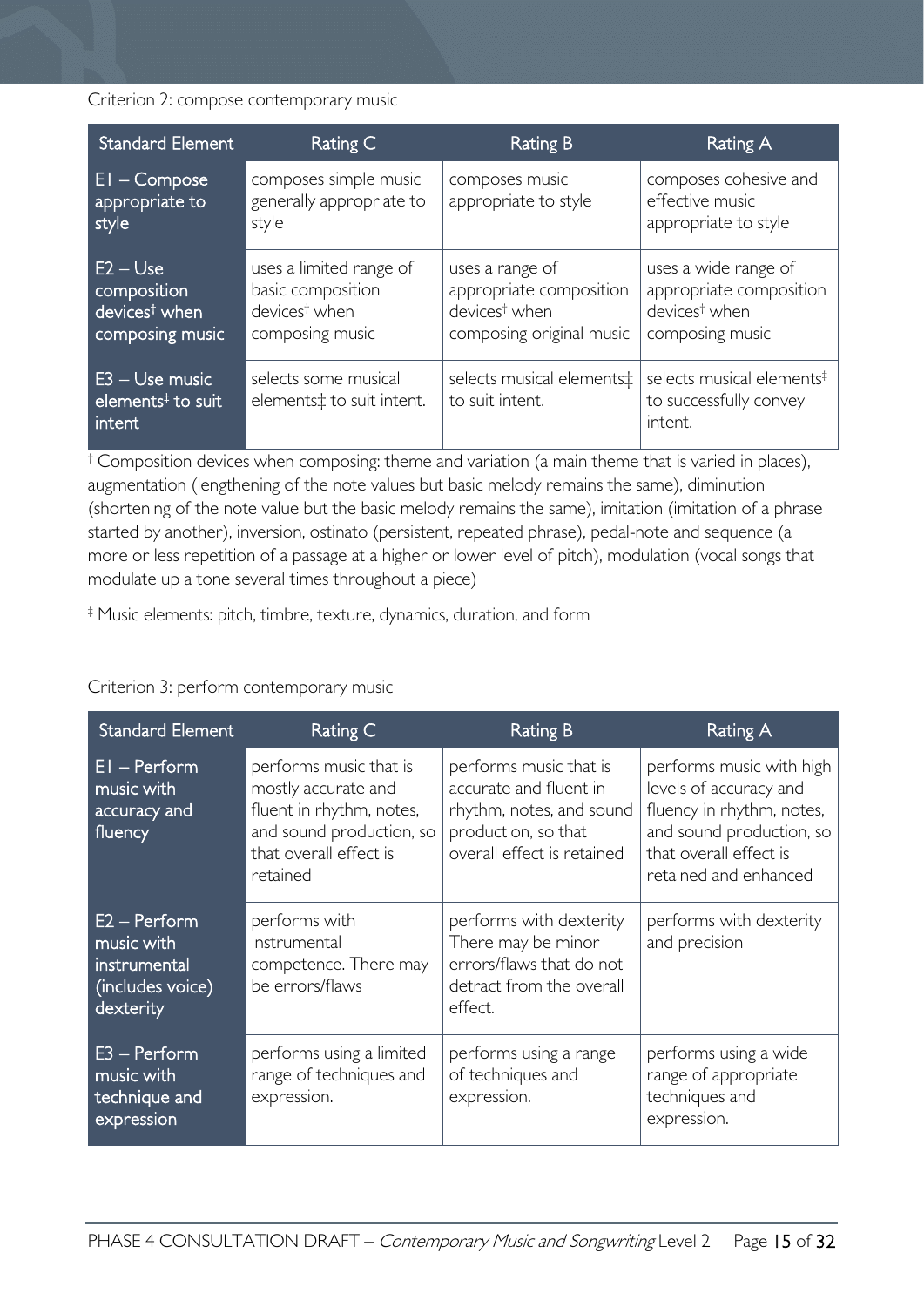Criterion 2: compose contemporary music

| <b>Standard Element</b>                                                   | Rating C                                                                                     | Rating B                                                                                            | Rating A                                                                                        |
|---------------------------------------------------------------------------|----------------------------------------------------------------------------------------------|-----------------------------------------------------------------------------------------------------|-------------------------------------------------------------------------------------------------|
| $El$ – Compose<br>appropriate to<br>style                                 | composes simple music<br>generally appropriate to<br>style                                   | composes music<br>appropriate to style                                                              | composes cohesive and<br>effective music<br>appropriate to style                                |
| $E2 - Use$<br>composition<br>devices <sup>t</sup> when<br>composing music | uses a limited range of<br>basic composition<br>devices <sup>†</sup> when<br>composing music | uses a range of<br>appropriate composition<br>devices <sup>†</sup> when<br>composing original music | uses a wide range of<br>appropriate composition<br>devices <sup>†</sup> when<br>composing music |
| $E3 - Use music$<br>elements <sup>‡</sup> to suit<br>intent               | selects some musical<br>elements‡ to suit intent.                                            | selects musical elements‡<br>to suit intent.                                                        | selects musical elements <sup>‡</sup><br>to successfully convey<br>intent.                      |

† Composition devices when composing: theme and variation (a main theme that is varied in places), augmentation (lengthening of the note values but basic melody remains the same), diminution (shortening of the note value but the basic melody remains the same), imitation (imitation of a phrase started by another), inversion, ostinato (persistent, repeated phrase), pedal-note and sequence (a more or less repetition of a passage at a higher or lower level of pitch), modulation (vocal songs that modulate up a tone several times throughout a piece)

‡ Music elements: pitch, timbre, texture, dynamics, duration, and form

#### Criterion 3: perform contemporary music

| <b>Standard Element</b>                                                       | Rating C                                                                                                                                    | Rating B                                                                                                                          | Rating A                                                                                                                                                       |
|-------------------------------------------------------------------------------|---------------------------------------------------------------------------------------------------------------------------------------------|-----------------------------------------------------------------------------------------------------------------------------------|----------------------------------------------------------------------------------------------------------------------------------------------------------------|
| $EI - Perform$<br>music with<br>accuracy and<br>fluency                       | performs music that is<br>mostly accurate and<br>fluent in rhythm, notes,<br>and sound production, so<br>that overall effect is<br>retained | performs music that is<br>accurate and fluent in<br>rhythm, notes, and sound<br>production, so that<br>overall effect is retained | performs music with high<br>levels of accuracy and<br>fluency in rhythm, notes,<br>and sound production, so<br>that overall effect is<br>retained and enhanced |
| $E2 - Perform$<br>music with<br>instrumental<br>(includes voice)<br>dexterity | performs with<br>instrumental<br>competence. There may<br>be errors/flaws                                                                   | performs with dexterity<br>There may be minor<br>errors/flaws that do not<br>detract from the overall<br>effect.                  | performs with dexterity<br>and precision                                                                                                                       |
| $E3 - Perform$<br>music with<br>technique and<br>expression                   | performs using a limited<br>range of techniques and<br>expression.                                                                          | performs using a range<br>of techniques and<br>expression.                                                                        | performs using a wide<br>range of appropriate<br>techniques and<br>expression.                                                                                 |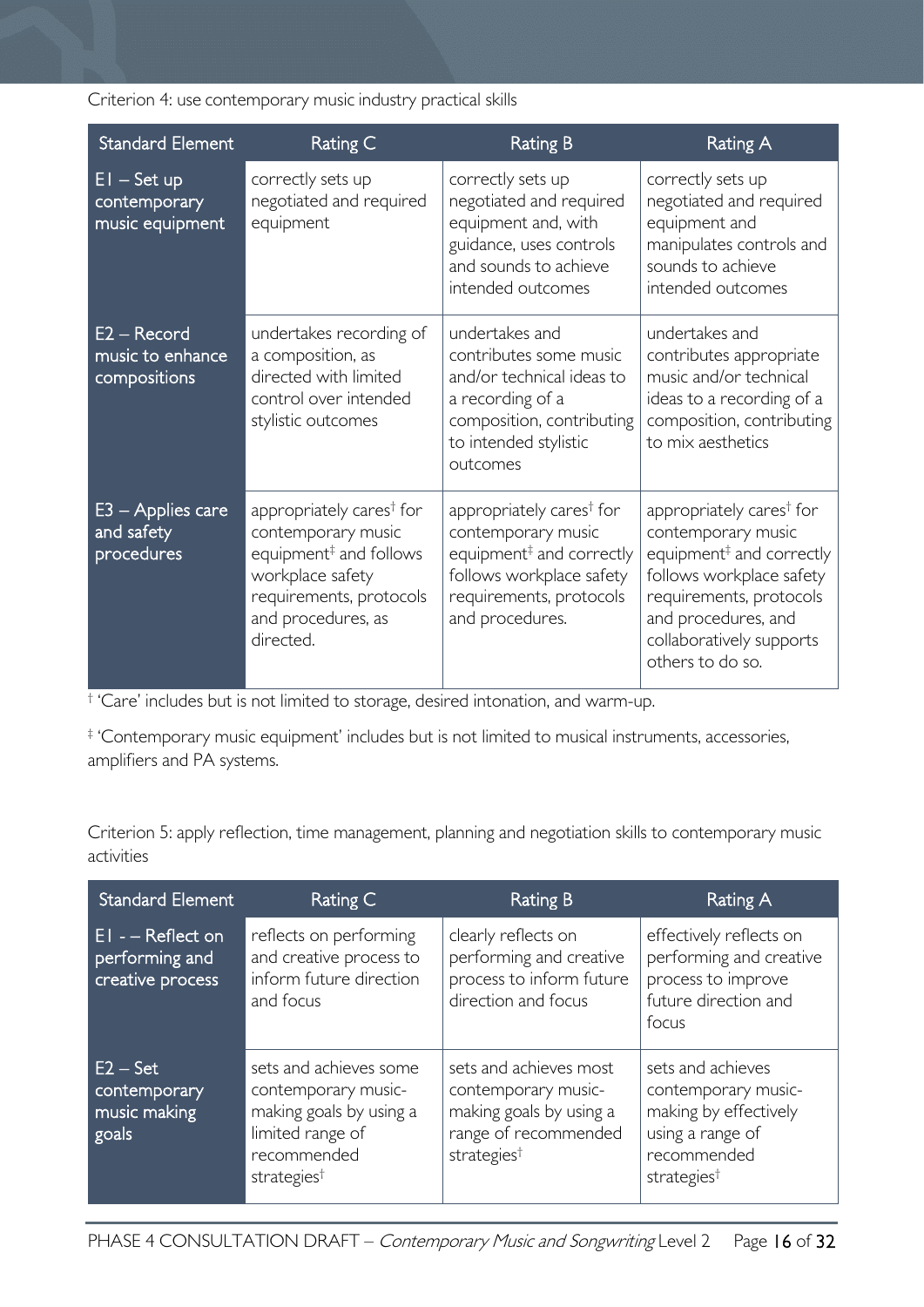Criterion 4: use contemporary music industry practical skills

| <b>Standard Element</b>                           | Rating C                                                                                                                                                                           | <b>Rating B</b>                                                                                                                                                              | Rating A                                                                                                                                                                                                                         |
|---------------------------------------------------|------------------------------------------------------------------------------------------------------------------------------------------------------------------------------------|------------------------------------------------------------------------------------------------------------------------------------------------------------------------------|----------------------------------------------------------------------------------------------------------------------------------------------------------------------------------------------------------------------------------|
| $EI - Set up$<br>contemporary<br>music equipment  | correctly sets up<br>negotiated and required<br>equipment                                                                                                                          | correctly sets up<br>negotiated and required<br>equipment and, with<br>guidance, uses controls<br>and sounds to achieve<br>intended outcomes                                 | correctly sets up<br>negotiated and required<br>equipment and<br>manipulates controls and<br>sounds to achieve<br>intended outcomes                                                                                              |
| $E2 - Record$<br>music to enhance<br>compositions | undertakes recording of<br>a composition, as<br>directed with limited<br>control over intended<br>stylistic outcomes                                                               | undertakes and<br>contributes some music<br>and/or technical ideas to<br>a recording of a<br>composition, contributing<br>to intended stylistic<br>outcomes                  | undertakes and<br>contributes appropriate<br>music and/or technical<br>ideas to a recording of a<br>composition, contributing<br>to mix aesthetics                                                                               |
| E3 – Applies care<br>and safety<br>procedures     | appropriately cares <sup>†</sup> for<br>contemporary music<br>equipment <sup>#</sup> and follows<br>workplace safety<br>requirements, protocols<br>and procedures, as<br>directed. | appropriately cares <sup>†</sup> for<br>contemporary music<br>equipment <sup>#</sup> and correctly<br>follows workplace safety<br>requirements, protocols<br>and procedures. | appropriately cares <sup>†</sup> for<br>contemporary music<br>equipment <sup>#</sup> and correctly<br>follows workplace safety<br>requirements, protocols<br>and procedures, and<br>collaboratively supports<br>others to do so. |

† 'Care' includes but is not limited to storage, desired intonation, and warm-up.

‡ 'Contemporary music equipment' includes but is not limited to musical instruments, accessories, amplifiers and PA systems.

Criterion 5: apply reflection, time management, planning and negotiation skills to contemporary music activities

| <b>Standard Element</b>                                 | Rating C                                                                                                                               | Rating B                                                                                                                    | Rating A                                                                                                                        |
|---------------------------------------------------------|----------------------------------------------------------------------------------------------------------------------------------------|-----------------------------------------------------------------------------------------------------------------------------|---------------------------------------------------------------------------------------------------------------------------------|
| $EI - Reflect on$<br>performing and<br>creative process | reflects on performing<br>and creative process to<br>inform future direction<br>and focus                                              | clearly reflects on<br>performing and creative<br>process to inform future<br>direction and focus                           | effectively reflects on<br>performing and creative<br>process to improve<br>future direction and<br>focus                       |
| $E2 - Set$<br>contemporary<br>music making<br>goals     | sets and achieves some<br>contemporary music-<br>making goals by using a<br>limited range of<br>recommended<br>strategies <sup>†</sup> | sets and achieves most<br>contemporary music-<br>making goals by using a<br>range of recommended<br>strategies <sup>†</sup> | sets and achieves<br>contemporary music-<br>making by effectively<br>using a range of<br>recommended<br>strategies <sup>†</sup> |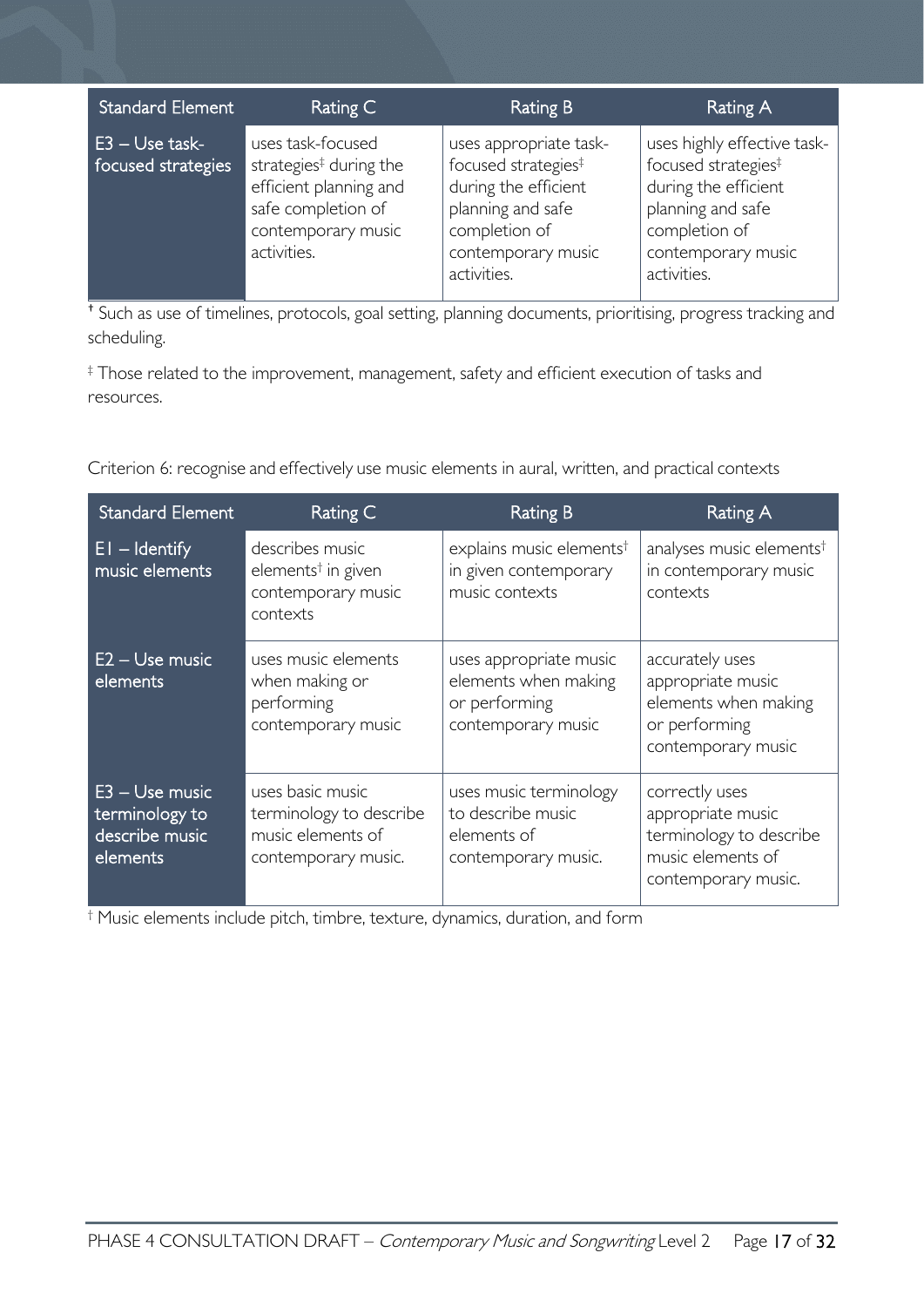| <b>Standard Element</b>                | Rating C                                                                                                                                     | <b>Rating B</b>                                                                                                                                              | Rating A                                                                                                                                                          |
|----------------------------------------|----------------------------------------------------------------------------------------------------------------------------------------------|--------------------------------------------------------------------------------------------------------------------------------------------------------------|-------------------------------------------------------------------------------------------------------------------------------------------------------------------|
| $E3 - Use task-$<br>focused strategies | uses task-focused<br>strategies <sup>‡</sup> during the<br>efficient planning and<br>safe completion of<br>contemporary music<br>activities. | uses appropriate task-<br>focused strategies <sup>‡</sup><br>during the efficient<br>planning and safe<br>completion of<br>contemporary music<br>activities. | uses highly effective task-<br>focused strategies <sup>‡</sup><br>during the efficient<br>planning and safe<br>completion of<br>contemporary music<br>activities. |

† Such as use of timelines, protocols, goal setting, planning documents, prioritising, progress tracking and scheduling.

‡ Those related to the improvement, management, safety and efficient execution of tasks and resources.

Criterion 6: recognise and effectively use music elements in aural, written, and practical contexts

| <b>Standard Element</b>                                        | <b>Rating C</b>                                                                         | <b>Rating B</b>                                                                       | Rating A                                                                                                   |
|----------------------------------------------------------------|-----------------------------------------------------------------------------------------|---------------------------------------------------------------------------------------|------------------------------------------------------------------------------------------------------------|
| $E1 -$ Identify<br>music elements                              | describes music<br>elements <sup>†</sup> in given<br>contemporary music<br>contexts     | explains music elements <sup>†</sup><br>in given contemporary<br>music contexts       | analyses music elements <sup>†</sup><br>in contemporary music<br>contexts                                  |
| E2 - Use music<br>elements                                     | uses music elements<br>when making or<br>performing<br>contemporary music               | uses appropriate music<br>elements when making<br>or performing<br>contemporary music | accurately uses<br>appropriate music<br>elements when making<br>or performing<br>contemporary music        |
| E3 - Use music<br>terminology to<br>describe music<br>elements | uses basic music<br>terminology to describe<br>music elements of<br>contemporary music. | uses music terminology<br>to describe music<br>elements of<br>contemporary music.     | correctly uses<br>appropriate music<br>terminology to describe<br>music elements of<br>contemporary music. |

† Music elements include pitch, timbre, texture, dynamics, duration, and form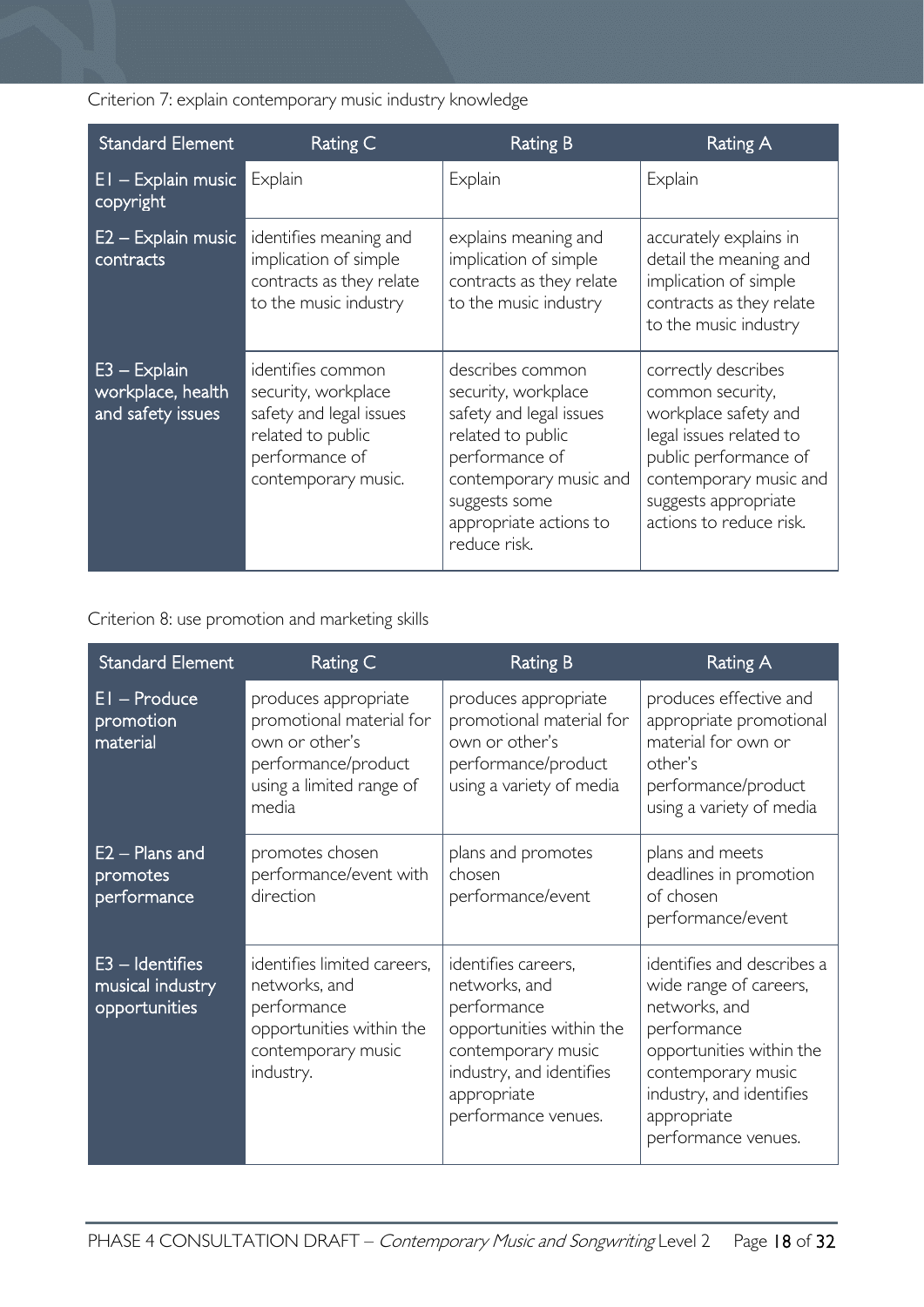Criterion 7: explain contemporary music industry knowledge

| <b>Standard Element</b>                                  | Rating C                                                                                                                          | Rating B                                                                                                                                                                                       | Rating A                                                                                                                                                                                         |
|----------------------------------------------------------|-----------------------------------------------------------------------------------------------------------------------------------|------------------------------------------------------------------------------------------------------------------------------------------------------------------------------------------------|--------------------------------------------------------------------------------------------------------------------------------------------------------------------------------------------------|
| $EI - Explain music$<br>copyright                        | Explain                                                                                                                           | Explain                                                                                                                                                                                        | Explain                                                                                                                                                                                          |
| E2 - Explain music<br>contracts                          | identifies meaning and<br>implication of simple<br>contracts as they relate<br>to the music industry                              | explains meaning and<br>implication of simple<br>contracts as they relate<br>to the music industry                                                                                             | accurately explains in<br>detail the meaning and<br>implication of simple<br>contracts as they relate<br>to the music industry                                                                   |
| $E3 - Explain$<br>workplace, health<br>and safety issues | identifies common<br>security, workplace<br>safety and legal issues<br>related to public<br>performance of<br>contemporary music. | describes common<br>security, workplace<br>safety and legal issues<br>related to public<br>performance of<br>contemporary music and<br>suggests some<br>appropriate actions to<br>reduce risk. | correctly describes<br>common security,<br>workplace safety and<br>legal issues related to<br>public performance of<br>contemporary music and<br>suggests appropriate<br>actions to reduce risk. |

Criterion 8: use promotion and marketing skills

| <b>Standard Element</b>                                 | Rating C                                                                                                                       | <b>Rating B</b>                                                                                                                                                         | <b>Rating A</b>                                                                                                                                                                                          |
|---------------------------------------------------------|--------------------------------------------------------------------------------------------------------------------------------|-------------------------------------------------------------------------------------------------------------------------------------------------------------------------|----------------------------------------------------------------------------------------------------------------------------------------------------------------------------------------------------------|
| El - Produce<br>promotion<br>material                   | produces appropriate<br>promotional material for<br>own or other's<br>performance/product<br>using a limited range of<br>media | produces appropriate<br>promotional material for<br>own or other's<br>performance/product<br>using a variety of media                                                   | produces effective and<br>appropriate promotional<br>material for own or<br>other's<br>performance/product<br>using a variety of media                                                                   |
| E2 - Plans and<br>promotes<br>performance               | promotes chosen<br>performance/event with<br>direction                                                                         | plans and promotes<br>chosen<br>performance/event                                                                                                                       | plans and meets<br>deadlines in promotion<br>of chosen<br>performance/event                                                                                                                              |
| $E3 - Id$ entifies<br>musical industry<br>opportunities | identifies limited careers,<br>networks, and<br>performance<br>opportunities within the<br>contemporary music<br>industry.     | identifies careers,<br>networks, and<br>performance<br>opportunities within the<br>contemporary music<br>industry, and identifies<br>appropriate<br>performance venues. | identifies and describes a<br>wide range of careers,<br>networks, and<br>performance<br>opportunities within the<br>contemporary music<br>industry, and identifies<br>appropriate<br>performance venues. |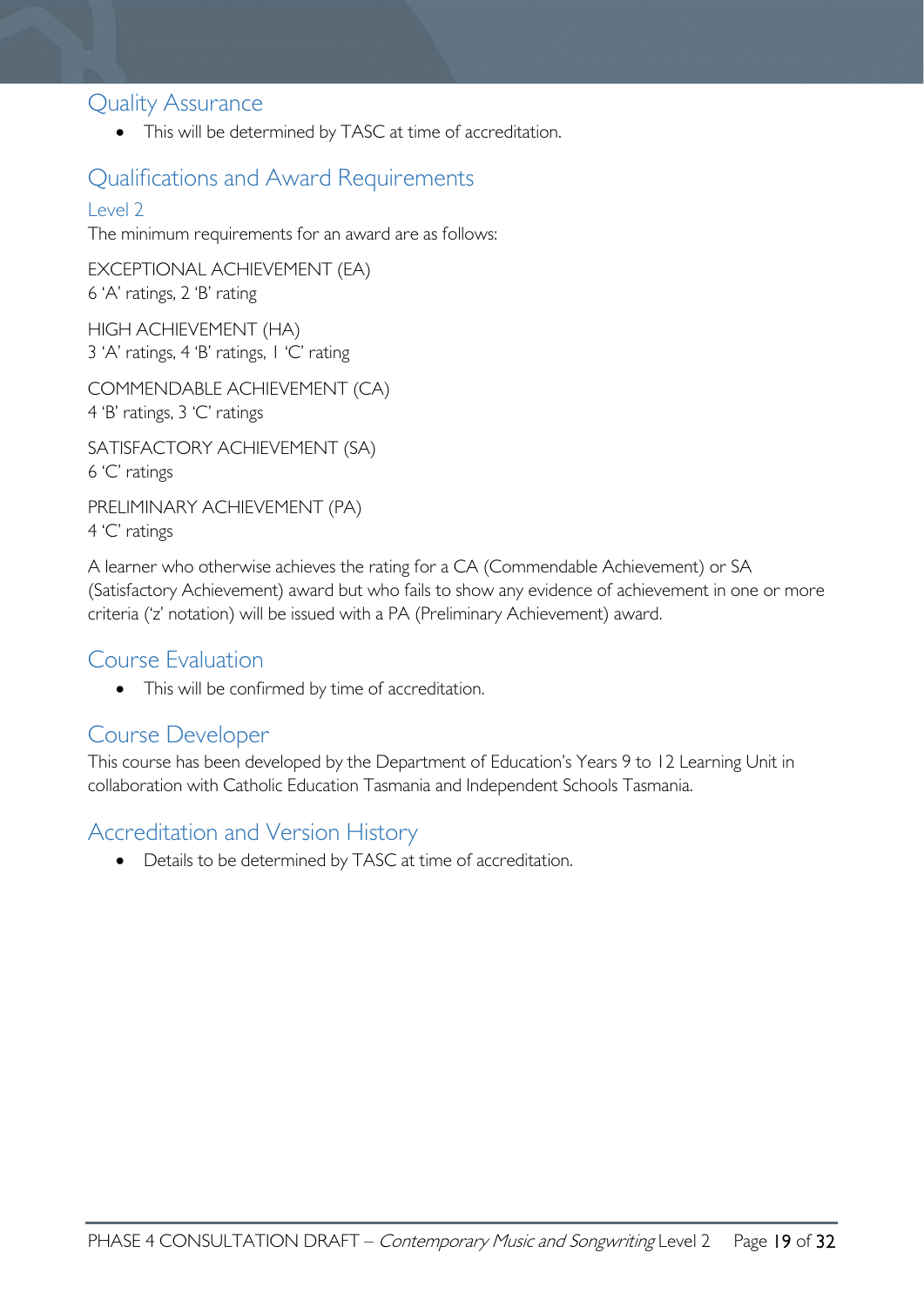### <span id="page-18-0"></span>Quality Assurance

• This will be determined by TASC at time of accreditation.

# <span id="page-18-1"></span>Qualifications and Award Requirements

### <span id="page-18-2"></span>Level 2

The minimum requirements for an award are as follows:

EXCEPTIONAL ACHIEVEMENT (EA) 6 'A' ratings, 2 'B' rating

HIGH ACHIEVEMENT (HA) 3 'A' ratings, 4 'B' ratings, 1 'C' rating

COMMENDABLE ACHIEVEMENT (CA) 4 'B' ratings, 3 'C' ratings

SATISFACTORY ACHIEVEMENT (SA) 6 'C' ratings

PRELIMINARY ACHIEVEMENT (PA) 4 'C' ratings

A learner who otherwise achieves the rating for a CA (Commendable Achievement) or SA (Satisfactory Achievement) award but who fails to show any evidence of achievement in one or more criteria ('z' notation) will be issued with a PA (Preliminary Achievement) award.

# <span id="page-18-3"></span>Course Evaluation

• This will be confirmed by time of accreditation.

# <span id="page-18-4"></span>Course Developer

This course has been developed by the Department of Education's Years 9 to 12 Learning Unit in collaboration with Catholic Education Tasmania and Independent Schools Tasmania.

# <span id="page-18-5"></span>Accreditation and Version History

• Details to be determined by TASC at time of accreditation.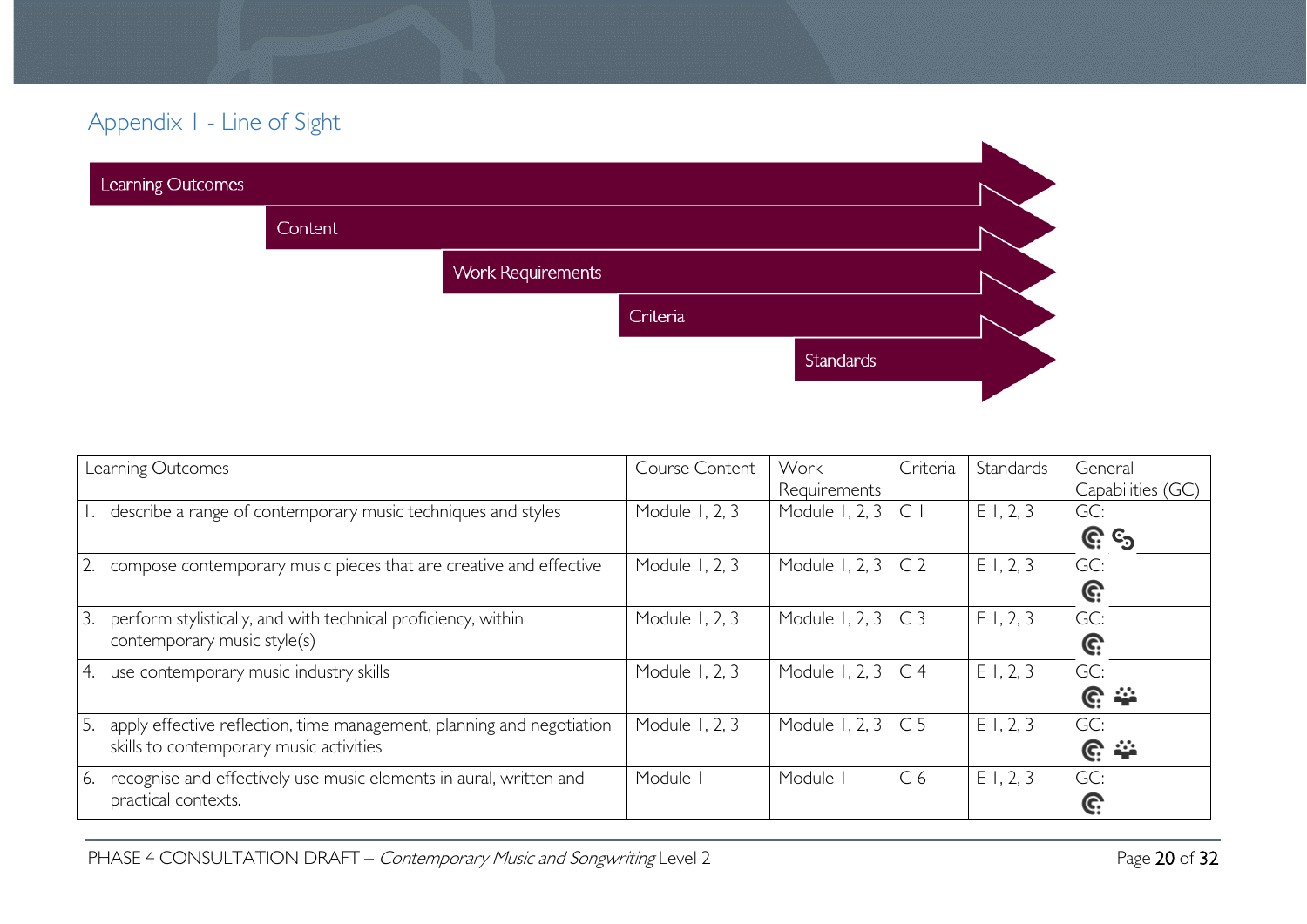# Appendix 1 - Line of Sight

| Learning Outcomes |         |                          |          |           |  |
|-------------------|---------|--------------------------|----------|-----------|--|
|                   | Content |                          |          |           |  |
|                   |         | <b>Work Requirements</b> |          |           |  |
|                   |         |                          | Criteria |           |  |
|                   |         |                          |          | Standards |  |
|                   |         |                          |          |           |  |

<span id="page-19-0"></span>

| Learning Outcomes                                                           | Course Content | Work           | Criteria       | Standards | General            |
|-----------------------------------------------------------------------------|----------------|----------------|----------------|-----------|--------------------|
|                                                                             |                | Requirements   |                |           | Capabilities (GC)  |
| describe a range of contemporary music techniques and styles                | Module 1, 2, 3 | Module 1, 2, 3 | $\mathsf{C}$   | E1, 2, 3  | GC:                |
|                                                                             |                |                |                |           | <u>ල</u> ි ය       |
| compose contemporary music pieces that are creative and effective           | Module 1, 2, 3 | Module 1, 2, 3 | C <sub>2</sub> | E1, 2, 3  | GC:                |
|                                                                             |                |                |                |           | G:                 |
| 3.<br>perform stylistically, and with technical proficiency, within         | Module 1, 2, 3 | Module 1, 2, 3 | C <sub>3</sub> | E1, 2, 3  | GC:                |
| contemporary music style(s)                                                 |                |                |                |           | G:                 |
| use contemporary music industry skills<br>4.                                | Module 1, 2, 3 | Module 1, 2, 3 | C <sub>4</sub> | E1, 2, 3  | GC:                |
|                                                                             |                |                |                |           | $\mathbb{C} \cong$ |
| 5.<br>apply effective reflection, time management, planning and negotiation | Module 1, 2, 3 | Module 1, 2, 3 | C <sub>5</sub> | E1, 2, 3  | GC:                |
| skills to contemporary music activities                                     |                |                |                |           | $\mathbb{C} \cong$ |
| recognise and effectively use music elements in aural, written and<br>6.    | Module I       | Module         | C6             | E1, 2, 3  | GC:                |
| practical contexts.                                                         |                |                |                |           | C:                 |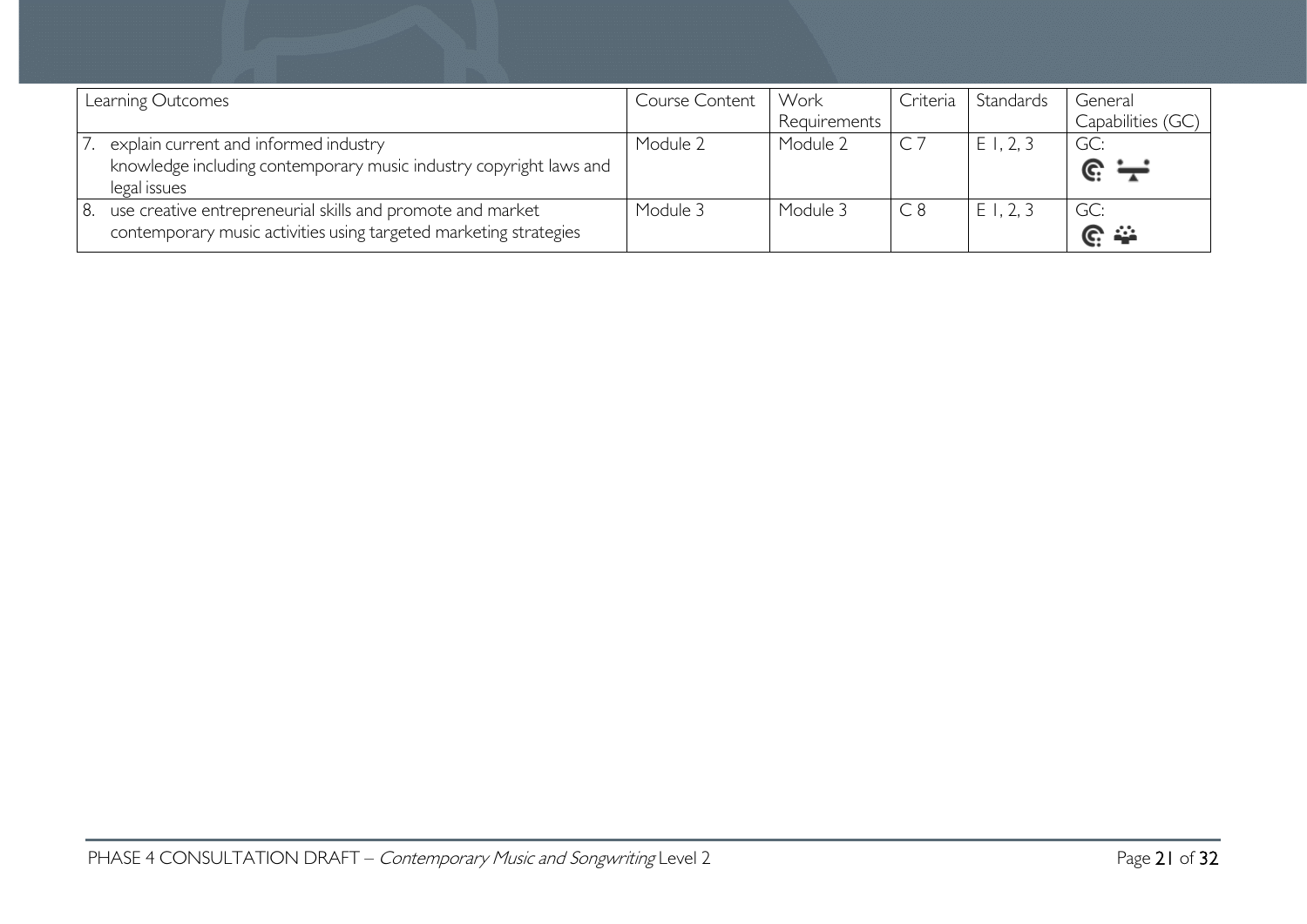| Learning Outcomes                                                                                                                     | Course Content | Work         | Criteria | Standards | General                   |
|---------------------------------------------------------------------------------------------------------------------------------------|----------------|--------------|----------|-----------|---------------------------|
|                                                                                                                                       |                | Requirements |          |           | Capabilities (GC)         |
| explain current and informed industry<br>knowledge including contemporary music industry copyright laws and<br>legal issues           | Module 2       | Module 2     |          | E1, 2, 3  | GC:<br>$\mathbb{e} =$     |
| use creative entrepreneurial skills and promote and market<br>8.<br>contemporary music activities using targeted marketing strategies | Module 3       | Module 3     | C8       | E1, 2, 3  | GC:<br>$\mathbb{C} \cong$ |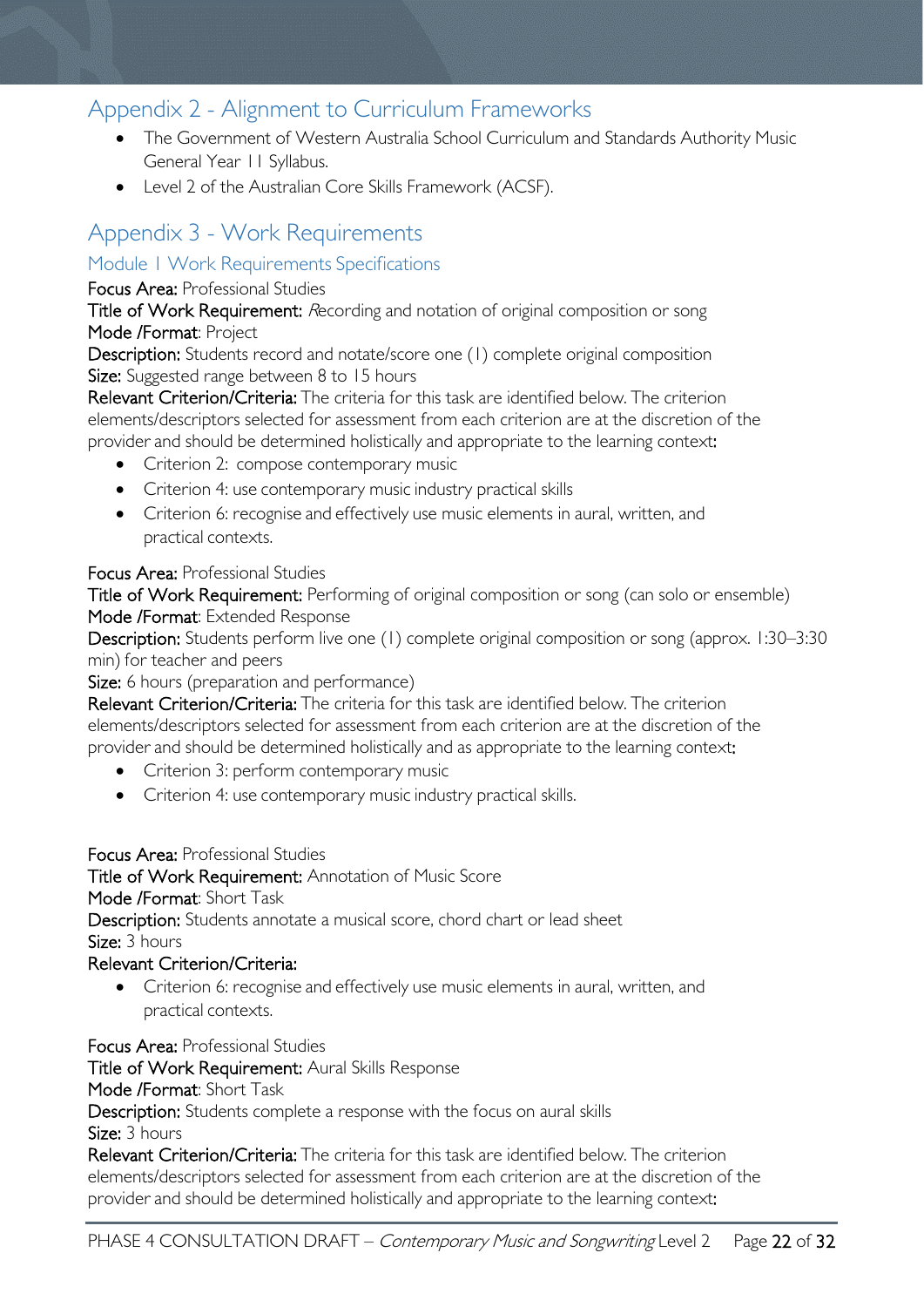# <span id="page-21-0"></span>Appendix 2 - Alignment to Curriculum Frameworks

- The Government of Western Australia School Curriculum and Standards Authority Music General Year 11 Syllabus.
- Level 2 of the Australian Core Skills Framework (ACSF).

# <span id="page-21-1"></span>Appendix 3 - Work Requirements

### <span id="page-21-2"></span>Module 1 Work Requirements Specifications

### Focus Area: Professional Studies

Title of Work Requirement: Recording and notation of original composition or song Mode /Format: Project

Description: Students record and notate/score one (1) complete original composition Size: Suggested range between 8 to 15 hours

Relevant Criterion/Criteria: The criteria for this task are identified below. The criterion elements/descriptors selected for assessment from each criterion are at the discretion of the provider and should be determined holistically and appropriate to the learning context:

- Criterion 2: compose contemporary music
- Criterion 4: use contemporary music industry practical skills
- Criterion 6: recognise and effectively use music elements in aural, written, and practical contexts.

### Focus Area: Professional Studies

Title of Work Requirement: Performing of original composition or song (can solo or ensemble) Mode /Format: Extended Response

Description: Students perform live one (1) complete original composition or song (approx. 1:30–3:30 min) for teacher and peers

Size: 6 hours (preparation and performance)

Relevant Criterion/Criteria: The criteria for this task are identified below. The criterion elements/descriptors selected for assessment from each criterion are at the discretion of the provider and should be determined holistically and as appropriate to the learning context:

- Criterion 3: perform contemporary music
- Criterion 4: use contemporary music industry practical skills.

#### Focus Area: Professional Studies

Title of Work Requirement: Annotation of Music Score

Mode /Format: Short Task

Description: Students annotate a musical score, chord chart or lead sheet Size: 3 hours

### Relevant Criterion/Criteria:

• Criterion 6: recognise and effectively use music elements in aural, written, and practical contexts.

Focus Area: Professional Studies

Title of Work Requirement: Aural Skills Response

Mode /Format: Short Task

Description: Students complete a response with the focus on aural skills Size: 3 hours

Relevant Criterion/Criteria: The criteria for this task are identified below. The criterion elements/descriptors selected for assessment from each criterion are at the discretion of the provider and should be determined holistically and appropriate to the learning context: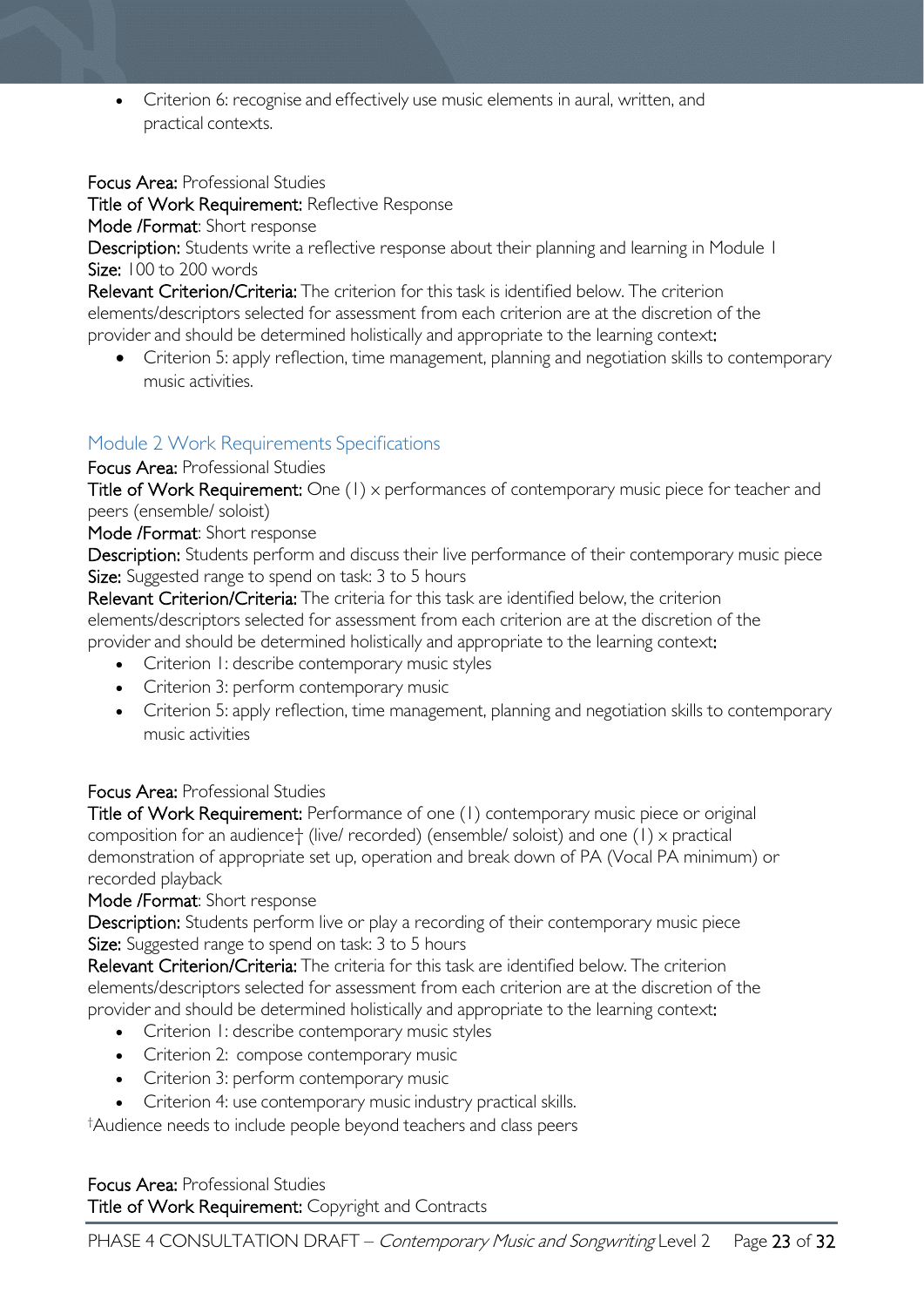• Criterion 6: recognise and effectively use music elements in aural, written, and practical contexts.

Focus Area: Professional Studies

Title of Work Requirement: Reflective Response

Mode /Format: Short response

Description: Students write a reflective response about their planning and learning in Module 1 Size: 100 to 200 words

Relevant Criterion/Criteria: The criterion for this task is identified below. The criterion elements/descriptors selected for assessment from each criterion are at the discretion of the provider and should be determined holistically and appropriate to the learning context:

• Criterion 5: apply reflection, time management, planning and negotiation skills to contemporary music activities.

### <span id="page-22-0"></span>Module 2 Work Requirements Specifications

Focus Area: Professional Studies

Title of Work Requirement: One (1) x performances of contemporary music piece for teacher and peers (ensemble/ soloist)

Mode /Format: Short response

Description: Students perform and discuss their live performance of their contemporary music piece Size: Suggested range to spend on task: 3 to 5 hours

Relevant Criterion/Criteria: The criteria for this task are identified below, the criterion elements/descriptors selected for assessment from each criterion are at the discretion of the provider and should be determined holistically and appropriate to the learning context:

- Criterion 1: describe contemporary music styles
- Criterion 3: perform contemporary music
- Criterion 5: apply reflection, time management, planning and negotiation skills to contemporary music activities

### Focus Area: Professional Studies

Title of Work Requirement: Performance of one (1) contemporary music piece or original composition for an audience† (live/ recorded) (ensemble/ soloist) and one (1) x practical demonstration of appropriate set up, operation and break down of PA (Vocal PA minimum) or recorded playback

Mode /Format: Short response

Description: Students perform live or play a recording of their contemporary music piece Size: Suggested range to spend on task: 3 to 5 hours

Relevant Criterion/Criteria: The criteria for this task are identified below. The criterion elements/descriptors selected for assessment from each criterion are at the discretion of the provider and should be determined holistically and appropriate to the learning context:

- Criterion 1: describe contemporary music styles
- Criterion 2: compose contemporary music
- Criterion 3: perform contemporary music
- Criterion 4: use contemporary music industry practical skills.

† Audience needs to include people beyond teachers and class peers

Focus Area: Professional Studies Title of Work Requirement: Copyright and Contracts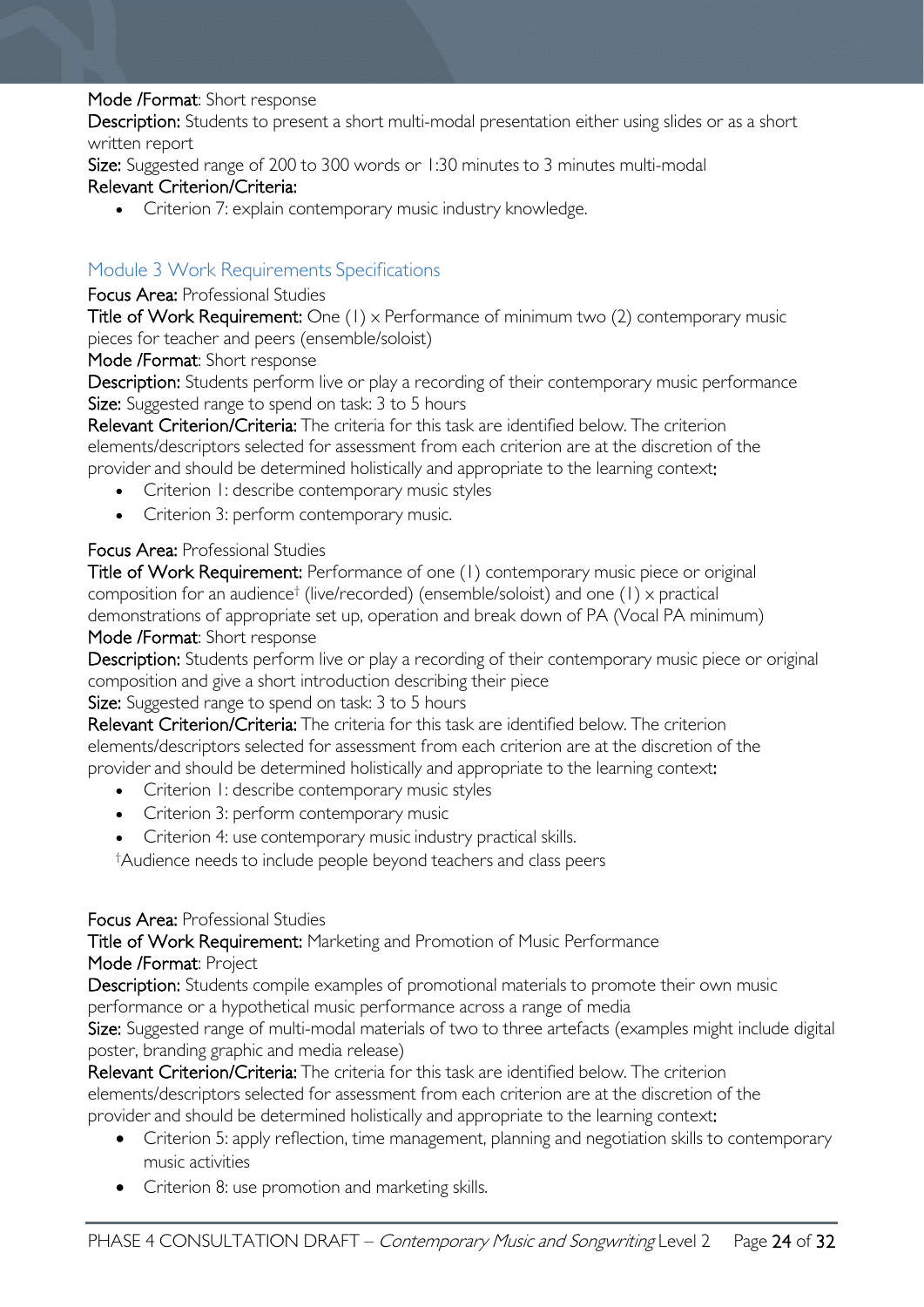#### Mode /Format: Short response

Description: Students to present a short multi-modal presentation either using slides or as a short written report

Size: Suggested range of 200 to 300 words or 1:30 minutes to 3 minutes multi-modal

### Relevant Criterion/Criteria:

• Criterion 7: explain contemporary music industry knowledge.

### <span id="page-23-0"></span>Module 3 Work Requirements Specifications

#### Focus Area: Professional Studies

Title of Work Requirement: One (1) x Performance of minimum two (2) contemporary music pieces for teacher and peers (ensemble/soloist)

Mode /Format: Short response

Description: Students perform live or play a recording of their contemporary music performance Size: Suggested range to spend on task: 3 to 5 hours

Relevant Criterion/Criteria: The criteria for this task are identified below. The criterion elements/descriptors selected for assessment from each criterion are at the discretion of the provider and should be determined holistically and appropriate to the learning context:

- Criterion 1: describe contemporary music styles
- Criterion 3: perform contemporary music.

### Focus Area: Professional Studies

Title of Work Requirement: Performance of one (1) contemporary music piece or original composition for an audience† (live/recorded) (ensemble/soloist) and one (1) x practical demonstrations of appropriate set up, operation and break down of PA (Vocal PA minimum)

### Mode /Format: Short response

Description: Students perform live or play a recording of their contemporary music piece or original composition and give a short introduction describing their piece

### Size: Suggested range to spend on task: 3 to 5 hours

Relevant Criterion/Criteria: The criteria for this task are identified below. The criterion elements/descriptors selected for assessment from each criterion are at the discretion of the provider and should be determined holistically and appropriate to the learning context:

- Criterion 1: describe contemporary music styles
- Criterion 3: perform contemporary music
- Criterion 4: use contemporary music industry practical skills.

† Audience needs to include people beyond teachers and class peers

#### Focus Area: Professional Studies

Title of Work Requirement: Marketing and Promotion of Music Performance Mode /Format: Project

Description: Students compile examples of promotional materials to promote their own music performance or a hypothetical music performance across a range of media

Size: Suggested range of multi-modal materials of two to three artefacts (examples might include digital poster, branding graphic and media release)

Relevant Criterion/Criteria: The criteria for this task are identified below. The criterion elements/descriptors selected for assessment from each criterion are at the discretion of the provider and should be determined holistically and appropriate to the learning context:

- Criterion 5: apply reflection, time management, planning and negotiation skills to contemporary music activities
- Criterion 8: use promotion and marketing skills.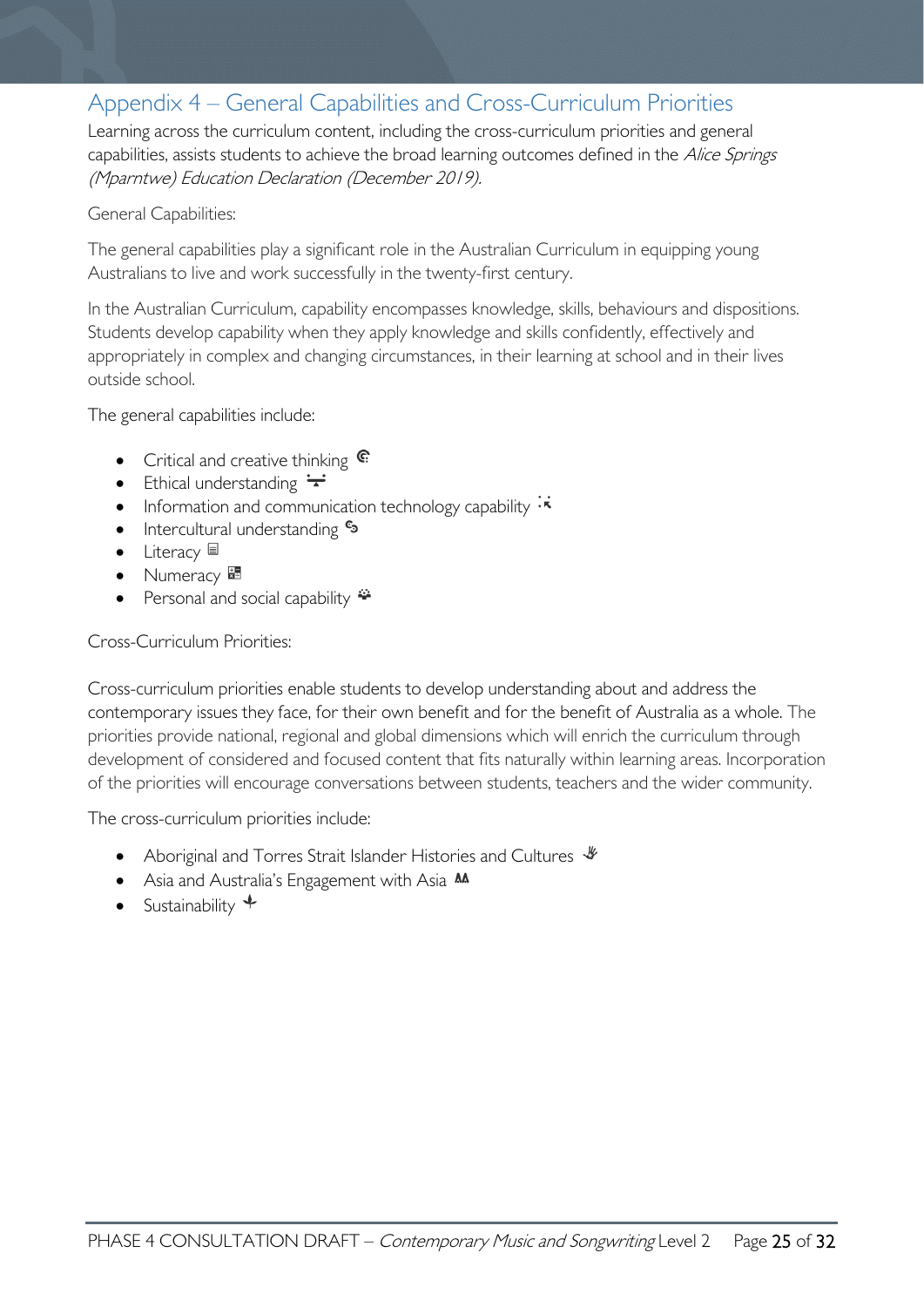# <span id="page-24-0"></span>Appendix 4 – General Capabilities and Cross-Curriculum Priorities

Learning across the curriculum content, including the cross-curriculum priorities and general capabilities, assists students to achieve the broad learning outcomes defined in the Alice Springs (Mparntwe) Education Declaration (December 2019).

#### General Capabilities:

The general capabilities play a significant role in the Australian Curriculum in equipping young Australians to live and work successfully in the twenty-first century.

In the Australian Curriculum, capability encompasses knowledge, skills, behaviours and dispositions. Students develop capability when they apply knowledge and skills confidently, effectively and appropriately in complex and changing circumstances, in their learning at school and in their lives outside school.

The general capabilities include:

- Critical and creative thinking  $\mathbb{C}$
- Ethical understanding  $\div$
- Information and communication technology capability  $\cdot \star$
- Intercultural understanding  $\epsilon_3$
- Literacy
- Numeracy
- Personal and social capability  $\ddot{\ddot{\bullet}}$

#### Cross-Curriculum Priorities:

Cross-curriculum priorities enable students to develop understanding about and address the contemporary issues they face, for their own benefit and for the benefit of Australia as a whole. The priorities provide national, regional and global dimensions which will enrich the curriculum through development of considered and focused content that fits naturally within learning areas. Incorporation of the priorities will encourage conversations between students, teachers and the wider community.

The cross-curriculum priorities include:

- Aboriginal and Torres Strait Islander Histories and Cultures  $\mathcal$
- Asia and Australia's Engagement with Asia M
- Sustainability  $\triangleleft$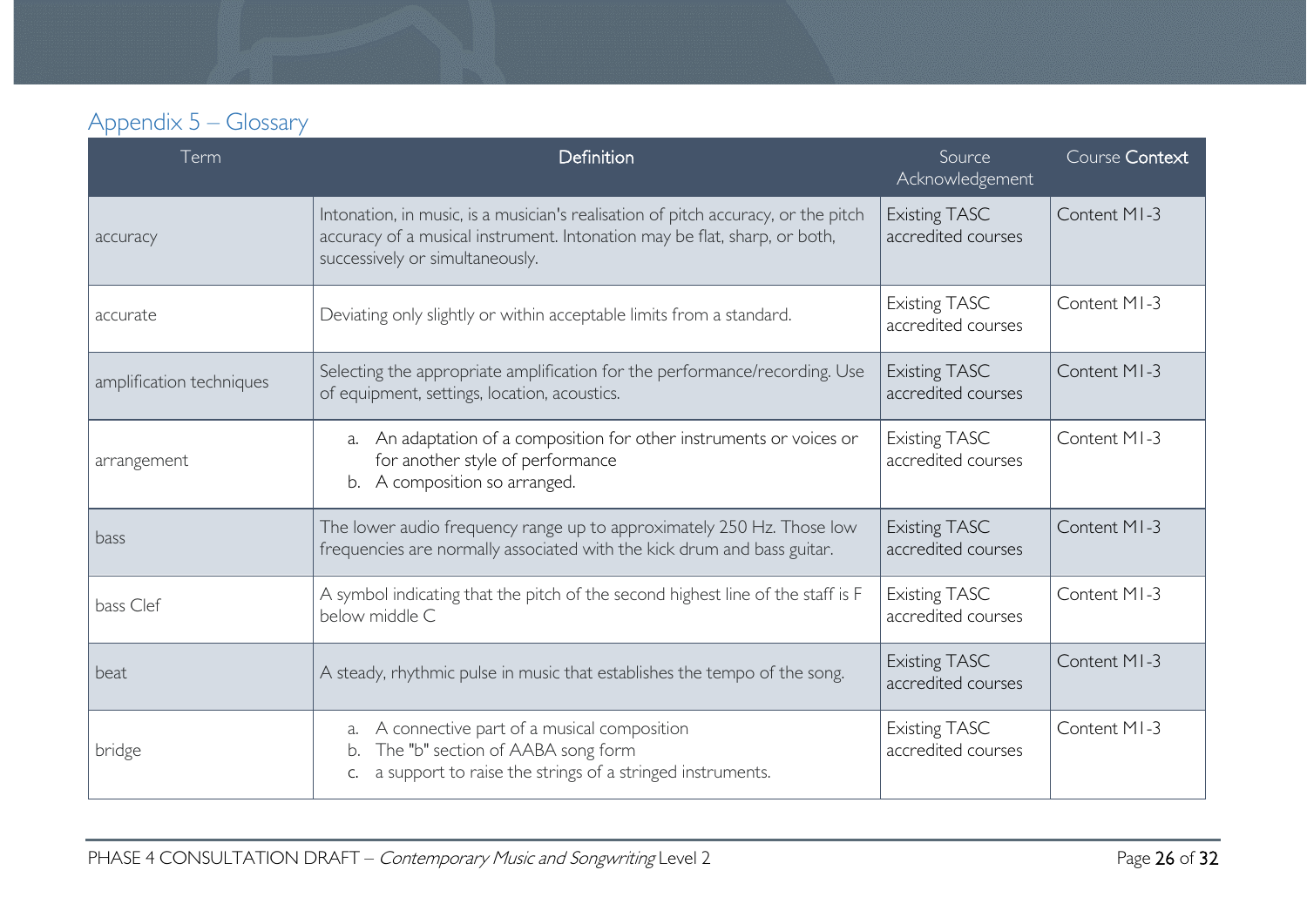# Appendix 5 – Glossary

<span id="page-25-0"></span>

| Term                     | <b>Definition</b>                                                                                                                                                                                 | Source<br>Acknowledgement                  | Course Context |
|--------------------------|---------------------------------------------------------------------------------------------------------------------------------------------------------------------------------------------------|--------------------------------------------|----------------|
| accuracy                 | Intonation, in music, is a musician's realisation of pitch accuracy, or the pitch<br>accuracy of a musical instrument. Intonation may be flat, sharp, or both,<br>successively or simultaneously. | <b>Existing TASC</b><br>accredited courses | Content MI-3   |
| accurate                 | Deviating only slightly or within acceptable limits from a standard.                                                                                                                              | <b>Existing TASC</b><br>accredited courses | Content MI-3   |
| amplification techniques | Selecting the appropriate amplification for the performance/recording. Use<br>of equipment, settings, location, acoustics.                                                                        | <b>Existing TASC</b><br>accredited courses | Content MI-3   |
| arrangement              | An adaptation of a composition for other instruments or voices or<br>a.<br>for another style of performance<br>b. A composition so arranged.                                                      | <b>Existing TASC</b><br>accredited courses | Content MI-3   |
| bass                     | The lower audio frequency range up to approximately 250 Hz. Those low<br>frequencies are normally associated with the kick drum and bass guitar.                                                  | <b>Existing TASC</b><br>accredited courses | Content MI-3   |
| bass Clef                | A symbol indicating that the pitch of the second highest line of the staff is F<br>below middle C                                                                                                 | <b>Existing TASC</b><br>accredited courses | Content MI-3   |
| beat                     | A steady, rhythmic pulse in music that establishes the tempo of the song.                                                                                                                         | <b>Existing TASC</b><br>accredited courses | Content MI-3   |
| bridge                   | A connective part of a musical composition<br>a.<br>The "b" section of AABA song form<br>a support to raise the strings of a stringed instruments.                                                | <b>Existing TASC</b><br>accredited courses | Content MI-3   |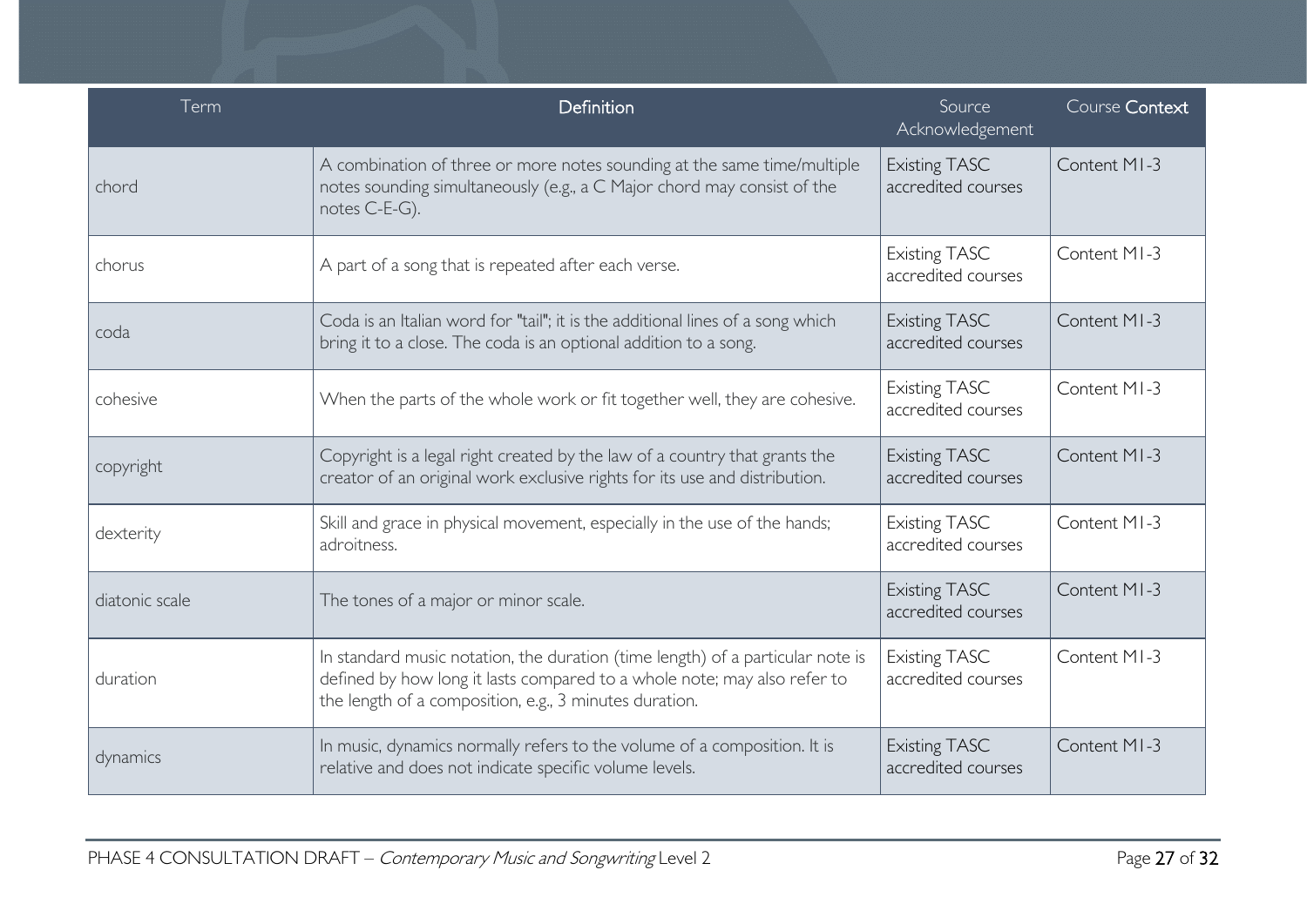| Term           | Definition                                                                                                                                                                                                           | Source<br>Acknowledgement                  | Course Context |
|----------------|----------------------------------------------------------------------------------------------------------------------------------------------------------------------------------------------------------------------|--------------------------------------------|----------------|
| chord          | A combination of three or more notes sounding at the same time/multiple<br>notes sounding simultaneously (e.g., a C Major chord may consist of the<br>notes C-E-G).                                                  | <b>Existing TASC</b><br>accredited courses | Content MI-3   |
| chorus         | A part of a song that is repeated after each verse.                                                                                                                                                                  | <b>Existing TASC</b><br>accredited courses | Content MI-3   |
| coda           | Coda is an Italian word for "tail"; it is the additional lines of a song which<br>bring it to a close. The coda is an optional addition to a song.                                                                   | <b>Existing TASC</b><br>accredited courses | Content MI-3   |
| cohesive       | When the parts of the whole work or fit together well, they are cohesive.                                                                                                                                            | <b>Existing TASC</b><br>accredited courses | Content MI-3   |
| copyright      | Copyright is a legal right created by the law of a country that grants the<br>creator of an original work exclusive rights for its use and distribution.                                                             | <b>Existing TASC</b><br>accredited courses | Content MI-3   |
| dexterity      | Skill and grace in physical movement, especially in the use of the hands;<br>adroitness.                                                                                                                             | <b>Existing TASC</b><br>accredited courses | Content MI-3   |
| diatonic scale | The tones of a major or minor scale.                                                                                                                                                                                 | <b>Existing TASC</b><br>accredited courses | Content MI-3   |
| duration       | In standard music notation, the duration (time length) of a particular note is<br>defined by how long it lasts compared to a whole note; may also refer to<br>the length of a composition, e.g., 3 minutes duration. | <b>Existing TASC</b><br>accredited courses | Content MI-3   |
| dynamics       | In music, dynamics normally refers to the volume of a composition. It is<br>relative and does not indicate specific volume levels.                                                                                   | <b>Existing TASC</b><br>accredited courses | Content MI-3   |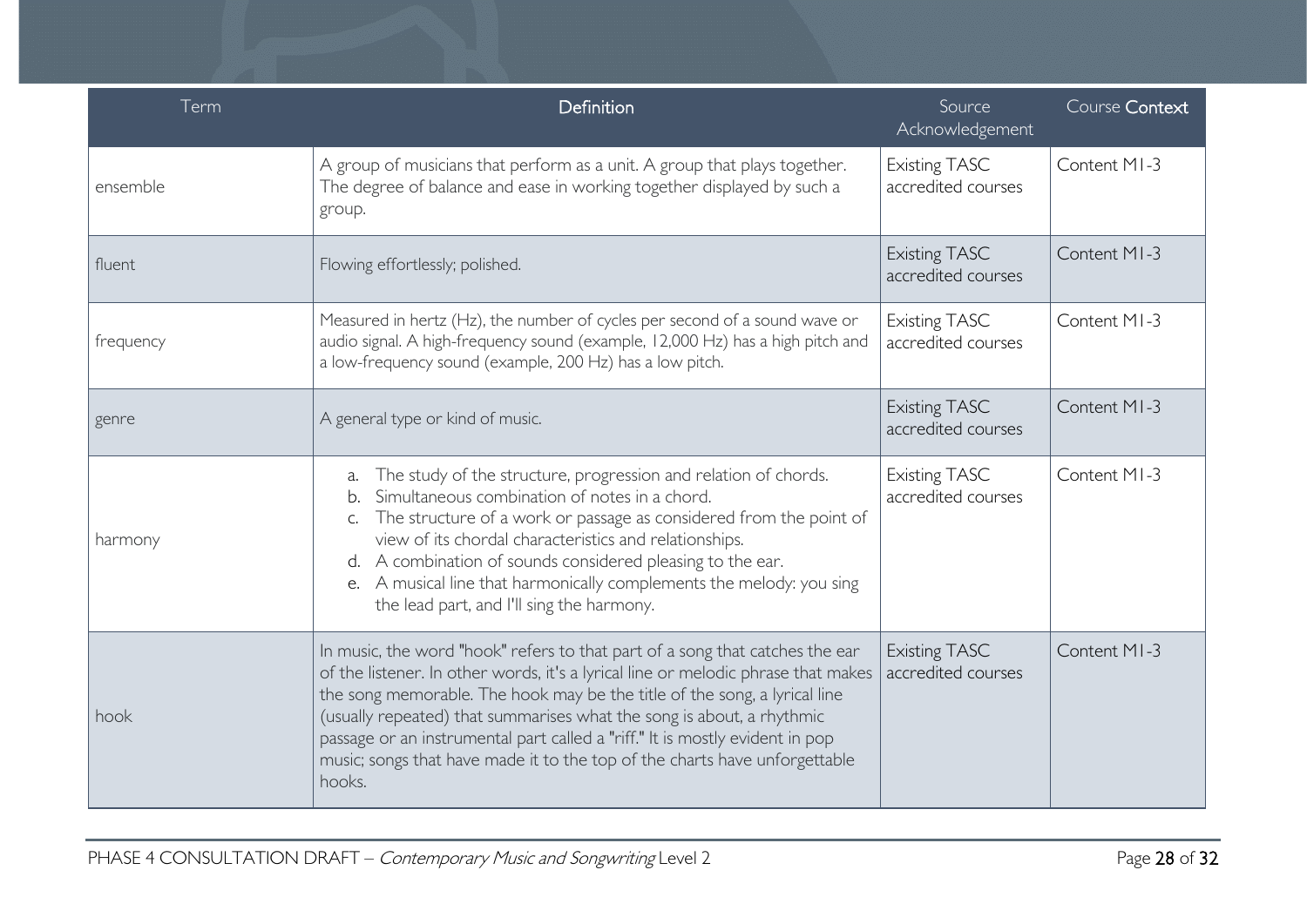| Term      | Definition                                                                                                                                                                                                                                                                                                                                                                                                                                                                                      | Source<br>Acknowledgement                  | Course Context |
|-----------|-------------------------------------------------------------------------------------------------------------------------------------------------------------------------------------------------------------------------------------------------------------------------------------------------------------------------------------------------------------------------------------------------------------------------------------------------------------------------------------------------|--------------------------------------------|----------------|
| ensemble  | A group of musicians that perform as a unit. A group that plays together.<br>The degree of balance and ease in working together displayed by such a<br>group.                                                                                                                                                                                                                                                                                                                                   | <b>Existing TASC</b><br>accredited courses | Content MI-3   |
| fluent    | Flowing effortlessly; polished.                                                                                                                                                                                                                                                                                                                                                                                                                                                                 | <b>Existing TASC</b><br>accredited courses | Content MI-3   |
| frequency | Measured in hertz (Hz), the number of cycles per second of a sound wave or<br>audio signal. A high-frequency sound (example, 12,000 Hz) has a high pitch and<br>a low-frequency sound (example, 200 Hz) has a low pitch.                                                                                                                                                                                                                                                                        | <b>Existing TASC</b><br>accredited courses | Content MI-3   |
| genre     | A general type or kind of music.                                                                                                                                                                                                                                                                                                                                                                                                                                                                | <b>Existing TASC</b><br>accredited courses | Content MI-3   |
| harmony   | The study of the structure, progression and relation of chords.<br>a.<br>Simultaneous combination of notes in a chord.<br>b.<br>The structure of a work or passage as considered from the point of<br>C.<br>view of its chordal characteristics and relationships.<br>A combination of sounds considered pleasing to the ear.<br>d.<br>A musical line that harmonically complements the melody: you sing<br>e.<br>the lead part, and I'll sing the harmony.                                     | <b>Existing TASC</b><br>accredited courses | Content MI-3   |
| hook      | In music, the word "hook" refers to that part of a song that catches the ear<br>of the listener. In other words, it's a lyrical line or melodic phrase that makes<br>the song memorable. The hook may be the title of the song, a lyrical line<br>(usually repeated) that summarises what the song is about, a rhythmic<br>passage or an instrumental part called a "riff." It is mostly evident in pop<br>music; songs that have made it to the top of the charts have unforgettable<br>hooks. | <b>Existing TASC</b><br>accredited courses | Content MI-3   |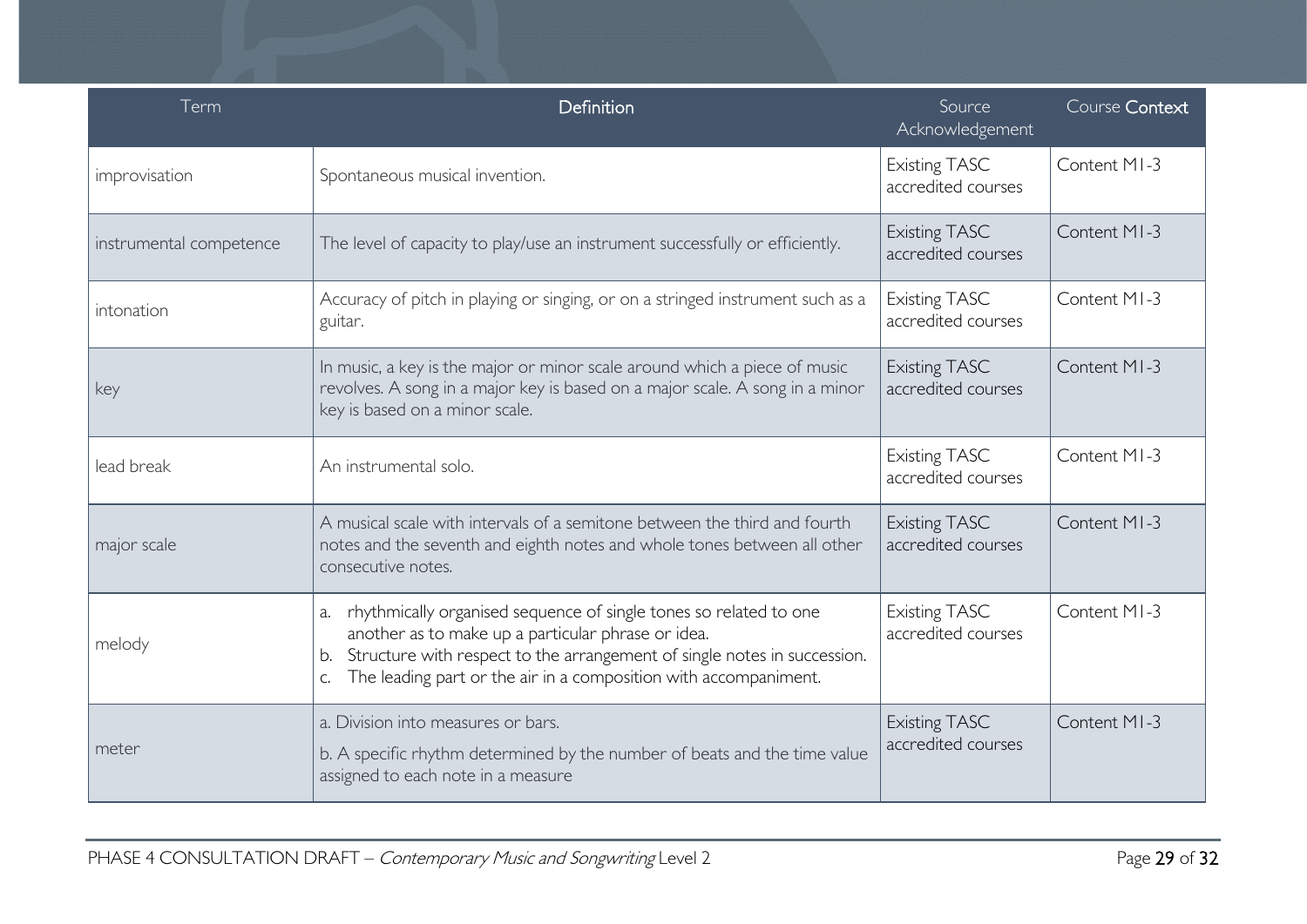| Term                    | Definition                                                                                                                                                                                                                                                                                | Source<br>Acknowledgement                  | Course Context |
|-------------------------|-------------------------------------------------------------------------------------------------------------------------------------------------------------------------------------------------------------------------------------------------------------------------------------------|--------------------------------------------|----------------|
| improvisation           | Spontaneous musical invention.                                                                                                                                                                                                                                                            | <b>Existing TASC</b><br>accredited courses | Content MI-3   |
| instrumental competence | The level of capacity to play/use an instrument successfully or efficiently.                                                                                                                                                                                                              | <b>Existing TASC</b><br>accredited courses | Content MI-3   |
| intonation              | Accuracy of pitch in playing or singing, or on a stringed instrument such as a<br>guitar.                                                                                                                                                                                                 | <b>Existing TASC</b><br>accredited courses | Content MI-3   |
| key                     | In music, a key is the major or minor scale around which a piece of music<br>revolves. A song in a major key is based on a major scale. A song in a minor<br>key is based on a minor scale.                                                                                               | <b>Existing TASC</b><br>accredited courses | Content MI-3   |
| lead break              | An instrumental solo.                                                                                                                                                                                                                                                                     | <b>Existing TASC</b><br>accredited courses | Content MI-3   |
| major scale             | A musical scale with intervals of a semitone between the third and fourth<br>notes and the seventh and eighth notes and whole tones between all other<br>consecutive notes.                                                                                                               | <b>Existing TASC</b><br>accredited courses | Content MI-3   |
| melody                  | rhythmically organised sequence of single tones so related to one<br>a.<br>another as to make up a particular phrase or idea.<br>Structure with respect to the arrangement of single notes in succession.<br>b.<br>The leading part or the air in a composition with accompaniment.<br>C. | <b>Existing TASC</b><br>accredited courses | Content MI-3   |
| meter                   | a. Division into measures or bars.<br>b. A specific rhythm determined by the number of beats and the time value<br>assigned to each note in a measure                                                                                                                                     | <b>Existing TASC</b><br>accredited courses | Content MI-3   |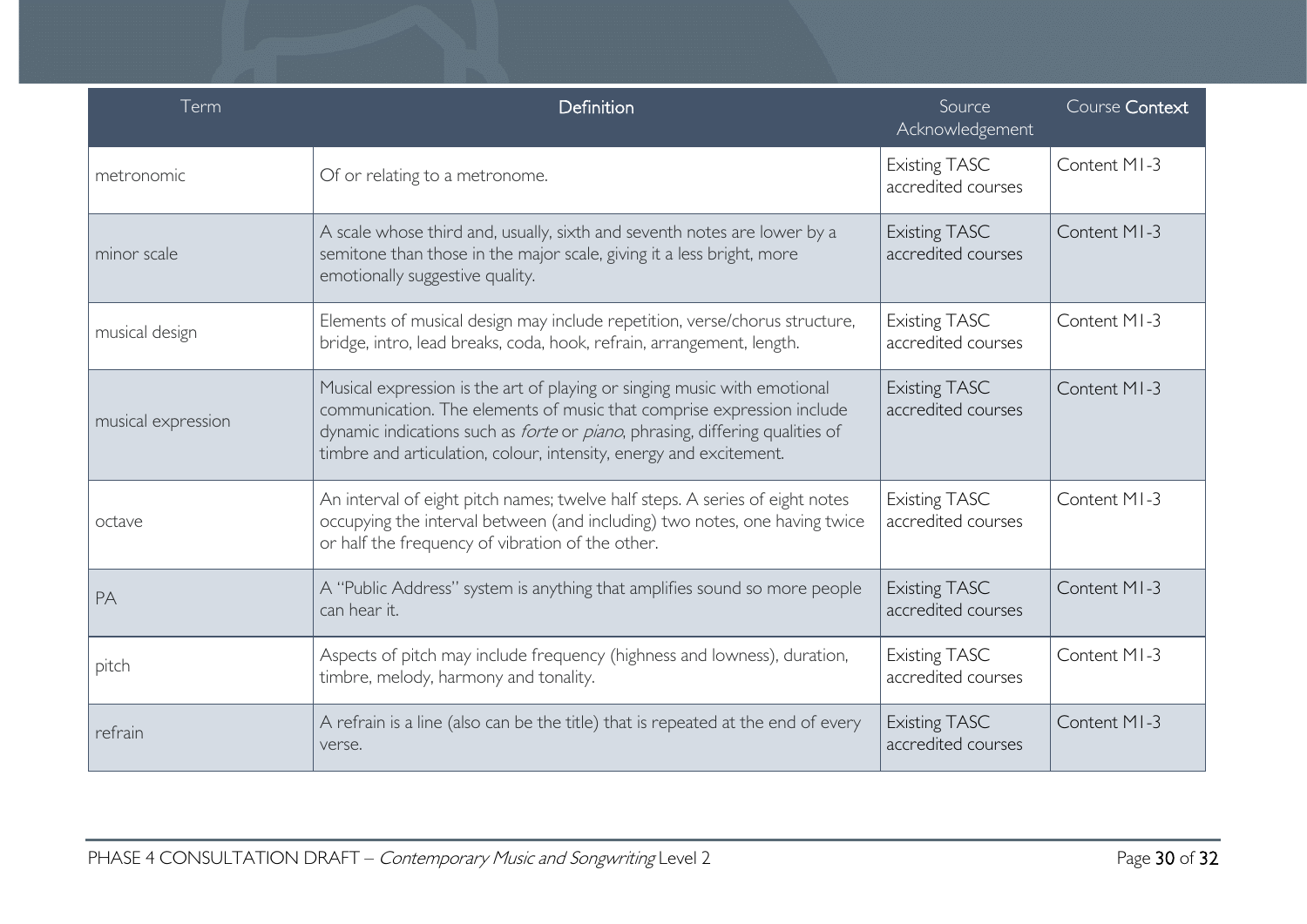| Term               | Definition                                                                                                                                                                                                                                                                                                             | Source<br>Acknowledgement                  | Course Context |
|--------------------|------------------------------------------------------------------------------------------------------------------------------------------------------------------------------------------------------------------------------------------------------------------------------------------------------------------------|--------------------------------------------|----------------|
| metronomic         | Of or relating to a metronome.                                                                                                                                                                                                                                                                                         | <b>Existing TASC</b><br>accredited courses | Content MI-3   |
| minor scale        | A scale whose third and, usually, sixth and seventh notes are lower by a<br>semitone than those in the major scale, giving it a less bright, more<br>emotionally suggestive quality.                                                                                                                                   | <b>Existing TASC</b><br>accredited courses | Content MI-3   |
| musical design     | Elements of musical design may include repetition, verse/chorus structure,<br>bridge, intro, lead breaks, coda, hook, refrain, arrangement, length.                                                                                                                                                                    | <b>Existing TASC</b><br>accredited courses | Content MI-3   |
| musical expression | Musical expression is the art of playing or singing music with emotional<br>communication. The elements of music that comprise expression include<br>dynamic indications such as <i>forte</i> or <i>piano</i> , phrasing, differing qualities of<br>timbre and articulation, colour, intensity, energy and excitement. | <b>Existing TASC</b><br>accredited courses | Content MI-3   |
| octave             | An interval of eight pitch names; twelve half steps. A series of eight notes<br>occupying the interval between (and including) two notes, one having twice<br>or half the frequency of vibration of the other.                                                                                                         | <b>Existing TASC</b><br>accredited courses | Content MI-3   |
| PA                 | A "Public Address" system is anything that amplifies sound so more people<br>can hear it.                                                                                                                                                                                                                              | <b>Existing TASC</b><br>accredited courses | Content MI-3   |
| pitch              | Aspects of pitch may include frequency (highness and lowness), duration,<br>timbre, melody, harmony and tonality.                                                                                                                                                                                                      | <b>Existing TASC</b><br>accredited courses | Content MI-3   |
| refrain            | A refrain is a line (also can be the title) that is repeated at the end of every<br>verse.                                                                                                                                                                                                                             | <b>Existing TASC</b><br>accredited courses | Content MI-3   |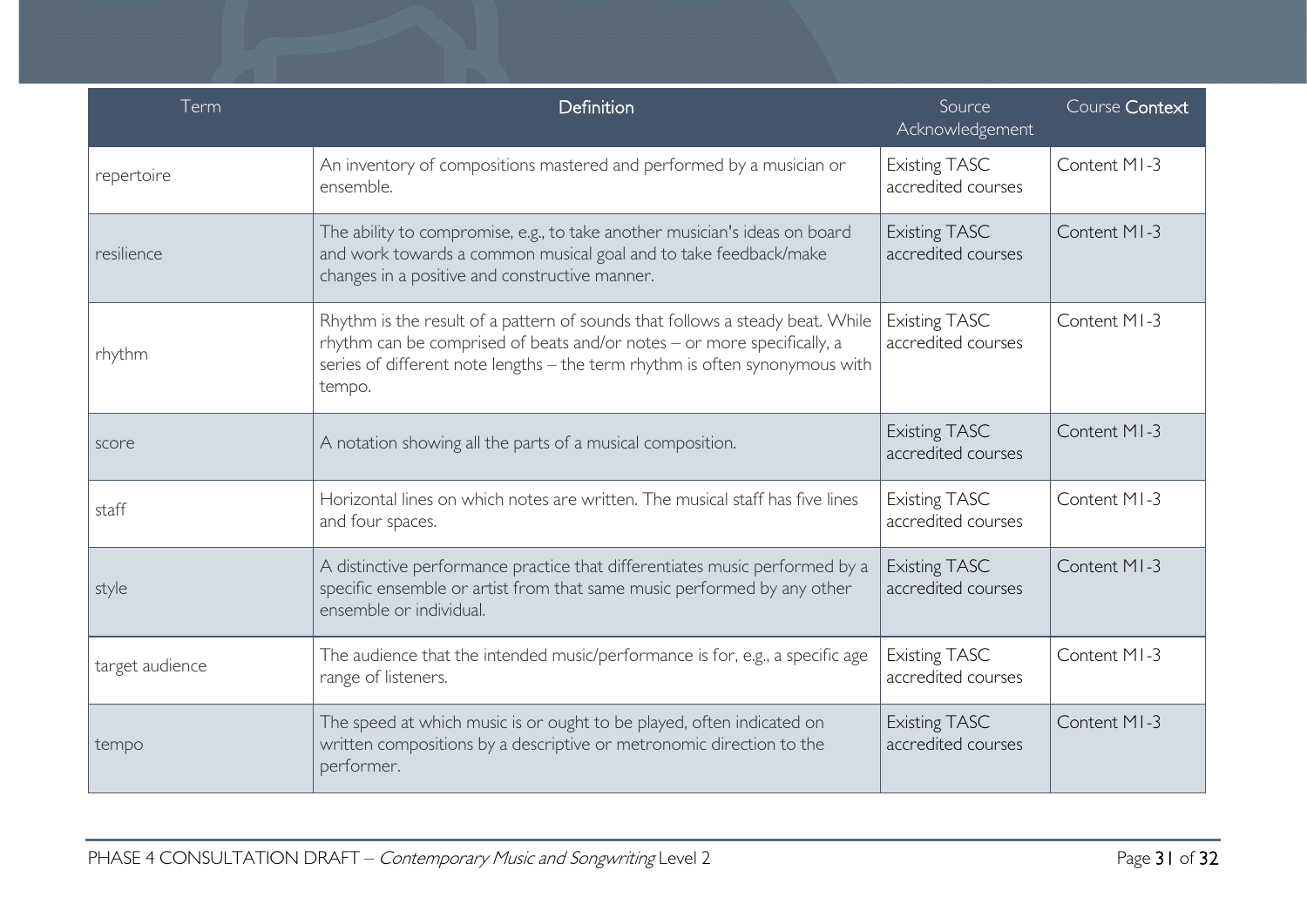| Term            | Definition                                                                                                                                                                                                                                        | Source<br>Acknowledgement                  | Course Context |
|-----------------|---------------------------------------------------------------------------------------------------------------------------------------------------------------------------------------------------------------------------------------------------|--------------------------------------------|----------------|
| repertoire      | An inventory of compositions mastered and performed by a musician or<br>ensemble.                                                                                                                                                                 | <b>Existing TASC</b><br>accredited courses | Content MI-3   |
| resilience      | The ability to compromise, e.g., to take another musician's ideas on board<br>and work towards a common musical goal and to take feedback/make<br>changes in a positive and constructive manner.                                                  | <b>Existing TASC</b><br>accredited courses | Content MI-3   |
| rhythm          | Rhythm is the result of a pattern of sounds that follows a steady beat. While<br>rhythm can be comprised of beats and/or notes - or more specifically, a<br>series of different note lengths - the term rhythm is often synonymous with<br>tempo. | <b>Existing TASC</b><br>accredited courses | Content MI-3   |
| score           | A notation showing all the parts of a musical composition.                                                                                                                                                                                        | <b>Existing TASC</b><br>accredited courses | Content MI-3   |
| staff           | Horizontal lines on which notes are written. The musical staff has five lines<br>and four spaces.                                                                                                                                                 | <b>Existing TASC</b><br>accredited courses | Content MI-3   |
| style           | A distinctive performance practice that differentiates music performed by a<br>specific ensemble or artist from that same music performed by any other<br>ensemble or individual.                                                                 | <b>Existing TASC</b><br>accredited courses | Content MI-3   |
| target audience | The audience that the intended music/performance is for, e.g., a specific age<br>range of listeners.                                                                                                                                              | <b>Existing TASC</b><br>accredited courses | Content MI-3   |
| tempo           | The speed at which music is or ought to be played, often indicated on<br>written compositions by a descriptive or metronomic direction to the<br>performer.                                                                                       | <b>Existing TASC</b><br>accredited courses | Content MI-3   |